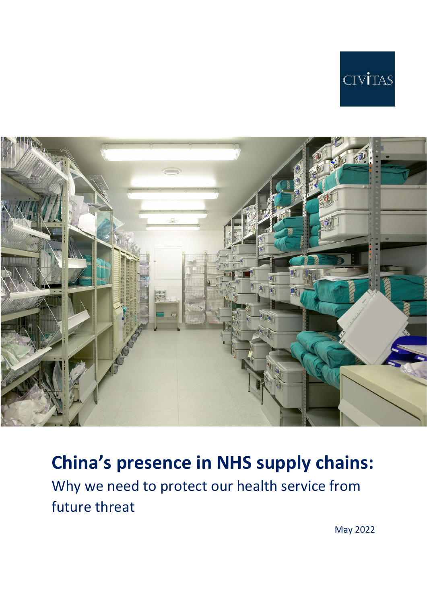



# **China's presence in NHS supply chains:**

Why we need to protect our health service from future threat

May 2022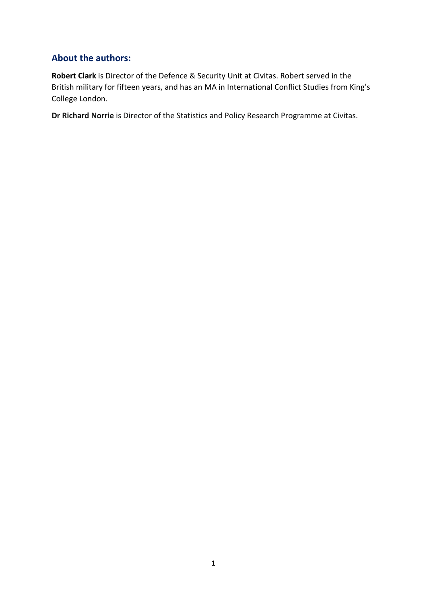## **About the authors:**

**Robert Clark** is Director of the Defence & Security Unit at Civitas. Robert served in the British military for fifteen years, and has an MA in International Conflict Studies from King's College London.

**Dr Richard Norrie** is Director of the Statistics and Policy Research Programme at Civitas.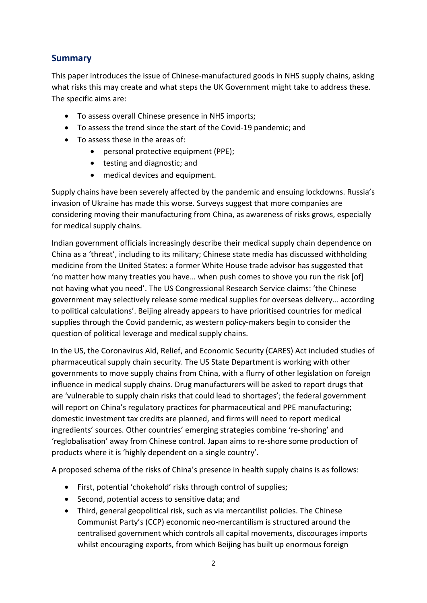## **Summary**

This paper introduces the issue of Chinese-manufactured goods in NHS supply chains, asking what risks this may create and what steps the UK Government might take to address these. The specific aims are:

- To assess overall Chinese presence in NHS imports;
- To assess the trend since the start of the Covid-19 pandemic; and
- To assess these in the areas of:
	- personal protective equipment (PPE);
	- testing and diagnostic; and
	- medical devices and equipment.

Supply chains have been severely affected by the pandemic and ensuing lockdowns. Russia's invasion of Ukraine has made this worse. Surveys suggest that more companies are considering moving their manufacturing from China, as awareness of risks grows, especially for medical supply chains.

Indian government officials increasingly describe their medical supply chain dependence on China as a 'threat', including to its military; Chinese state media has discussed withholding medicine from the United States: a former White House trade advisor has suggested that 'no matter how many treaties you have… when push comes to shove you run the risk [of] not having what you need'. The US Congressional Research Service claims: 'the Chinese government may selectively release some medical supplies for overseas delivery… according to political calculations'. Beijing already appears to have prioritised countries for medical supplies through the Covid pandemic, as western policy-makers begin to consider the question of political leverage and medical supply chains.

In the US, the Coronavirus Aid, Relief, and Economic Security (CARES) Act included studies of pharmaceutical supply chain security. The US State Department is working with other governments to move supply chains from China, with a flurry of other legislation on foreign influence in medical supply chains. Drug manufacturers will be asked to report drugs that are 'vulnerable to supply chain risks that could lead to shortages'; the federal government will report on China's regulatory practices for pharmaceutical and PPE manufacturing; domestic investment tax credits are planned, and firms will need to report medical ingredients' sources. Other countries' emerging strategies combine 're-shoring' and 'reglobalisation' away from Chinese control. Japan aims to re-shore some production of products where it is 'highly dependent on a single country'.

A proposed schema of the risks of China's presence in health supply chains is as follows:

- First, potential 'chokehold' risks through control of supplies;
- Second, potential access to sensitive data; and
- Third, general geopolitical risk, such as via mercantilist policies. The Chinese Communist Party's (CCP) economic neo-mercantilism is structured around the centralised government which controls all capital movements, discourages imports whilst encouraging exports, from which Beijing has built up enormous foreign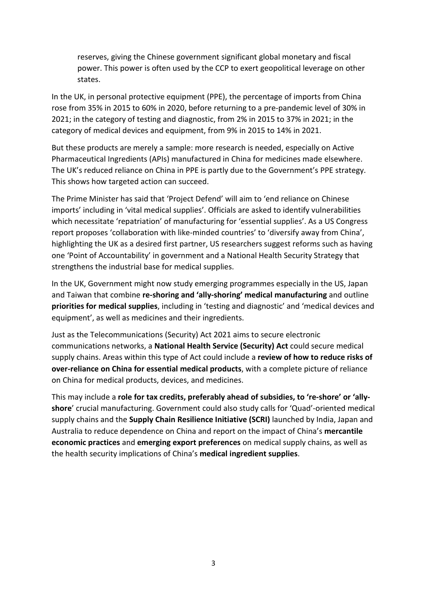reserves, giving the Chinese government significant global monetary and fiscal power. This power is often used by the CCP to exert geopolitical leverage on other states.

In the UK, in personal protective equipment (PPE), the percentage of imports from China rose from 35% in 2015 to 60% in 2020, before returning to a pre-pandemic level of 30% in 2021; in the category of testing and diagnostic, from 2% in 2015 to 37% in 2021; in the category of medical devices and equipment, from 9% in 2015 to 14% in 2021.

But these products are merely a sample: more research is needed, especially on Active Pharmaceutical Ingredients (APIs) manufactured in China for medicines made elsewhere. The UK's reduced reliance on China in PPE is partly due to the Government's PPE strategy. This shows how targeted action can succeed.

The Prime Minister has said that 'Project Defend' will aim to 'end reliance on Chinese imports' including in 'vital medical supplies'. Officials are asked to identify vulnerabilities which necessitate 'repatriation' of manufacturing for 'essential supplies'. As a US Congress report proposes 'collaboration with like-minded countries' to 'diversify away from China', highlighting the UK as a desired first partner, US researchers suggest reforms such as having one 'Point of Accountability' in government and a National Health Security Strategy that strengthens the industrial base for medical supplies.

In the UK, Government might now study emerging programmes especially in the US, Japan and Taiwan that combine **re-shoring and 'ally-shoring' medical manufacturing** and outline **priorities for medical supplies**, including in 'testing and diagnostic' and 'medical devices and equipment', as well as medicines and their ingredients.

Just as the Telecommunications (Security) Act 2021 aims to secure electronic communications networks, a **National Health Service (Security) Act** could secure medical supply chains. Areas within this type of Act could include a **review of how to reduce risks of over-reliance on China for essential medical products**, with a complete picture of reliance on China for medical products, devices, and medicines.

This may include a **role for tax credits, preferably ahead of subsidies, to 're-shore' or 'allyshore**' crucial manufacturing. Government could also study calls for 'Quad'-oriented medical supply chains and the **Supply Chain Resilience Initiative (SCRI)** launched by India, Japan and Australia to reduce dependence on China and report on the impact of China's **mercantile economic practices** and **emerging export preferences** on medical supply chains, as well as the health security implications of China's **medical ingredient supplies**.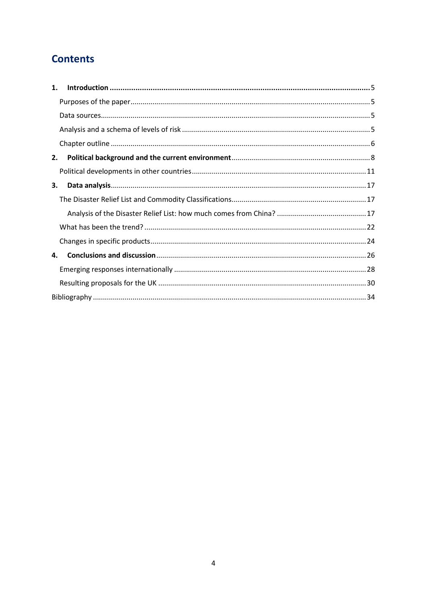## **Contents**

| $\mathbf{1}$ . |  |
|----------------|--|
|                |  |
|                |  |
|                |  |
|                |  |
| 2.             |  |
|                |  |
| 3.             |  |
|                |  |
|                |  |
|                |  |
|                |  |
| 4.             |  |
|                |  |
|                |  |
|                |  |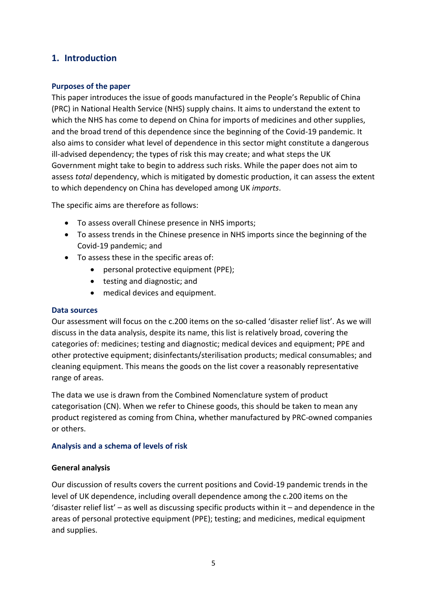## <span id="page-5-1"></span><span id="page-5-0"></span>**1. Introduction**

#### **Purposes of the paper**

This paper introduces the issue of goods manufactured in the People's Republic of China (PRC) in National Health Service (NHS) supply chains. It aims to understand the extent to which the NHS has come to depend on China for imports of medicines and other supplies, and the broad trend of this dependence since the beginning of the Covid-19 pandemic. It also aims to consider what level of dependence in this sector might constitute a dangerous ill-advised dependency; the types of risk this may create; and what steps the UK Government might take to begin to address such risks. While the paper does not aim to assess *total* dependency, which is mitigated by domestic production, it can assess the extent to which dependency on China has developed among UK *imports*.

The specific aims are therefore as follows:

- To assess overall Chinese presence in NHS imports;
- To assess trends in the Chinese presence in NHS imports since the beginning of the Covid-19 pandemic; and
- To assess these in the specific areas of:
	- personal protective equipment (PPE);
	- testing and diagnostic; and
	- medical devices and equipment.

#### <span id="page-5-2"></span>**Data sources**

Our assessment will focus on the c.200 items on the so-called 'disaster relief list'. As we will discuss in the data analysis, despite its name, this list is relatively broad, covering the categories of: medicines; testing and diagnostic; medical devices and equipment; PPE and other protective equipment; disinfectants/sterilisation products; medical consumables; and cleaning equipment. This means the goods on the list cover a reasonably representative range of areas.

The data we use is drawn from the Combined Nomenclature system of product categorisation (CN). When we refer to Chinese goods, this should be taken to mean any product registered as coming from China, whether manufactured by PRC-owned companies or others.

#### <span id="page-5-3"></span>**Analysis and a schema of levels of risk**

#### **General analysis**

Our discussion of results covers the current positions and Covid-19 pandemic trends in the level of UK dependence, including overall dependence among the c.200 items on the 'disaster relief list' – as well as discussing specific products within it – and dependence in the areas of personal protective equipment (PPE); testing; and medicines, medical equipment and supplies.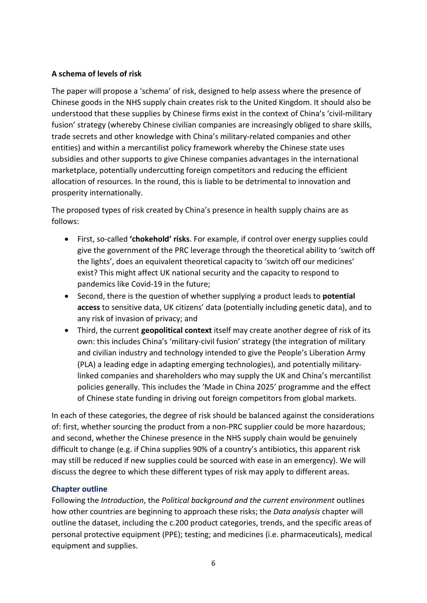#### **A schema of levels of risk**

The paper will propose a 'schema' of risk, designed to help assess where the presence of Chinese goods in the NHS supply chain creates risk to the United Kingdom. It should also be understood that these supplies by Chinese firms exist in the context of China's 'civil-military fusion' strategy (whereby Chinese civilian companies are increasingly obliged to share skills, trade secrets and other knowledge with China's military-related companies and other entities) and within a mercantilist policy framework whereby the Chinese state uses subsidies and other supports to give Chinese companies advantages in the international marketplace, potentially undercutting foreign competitors and reducing the efficient allocation of resources. In the round, this is liable to be detrimental to innovation and prosperity internationally.

The proposed types of risk created by China's presence in health supply chains are as follows:

- First, so-called **'chokehold' risks**. For example, if control over energy supplies could give the government of the PRC leverage through the theoretical ability to 'switch off the lights', does an equivalent theoretical capacity to 'switch off our medicines' exist? This might affect UK national security and the capacity to respond to pandemics like Covid-19 in the future;
- Second, there is the question of whether supplying a product leads to **potential access** to sensitive data, UK citizens' data (potentially including genetic data), and to any risk of invasion of privacy; and
- Third, the current **geopolitical context** itself may create another degree of risk of its own: this includes China's 'military-civil fusion' strategy (the integration of military and civilian industry and technology intended to give the People's Liberation Army (PLA) a leading edge in adapting emerging technologies), and potentially militarylinked companies and shareholders who may supply the UK and China's mercantilist policies generally. This includes the 'Made in China 2025' programme and the effect of Chinese state funding in driving out foreign competitors from global markets.

In each of these categories, the degree of risk should be balanced against the considerations of: first, whether sourcing the product from a non-PRC supplier could be more hazardous; and second, whether the Chinese presence in the NHS supply chain would be genuinely difficult to change (e.g. if China supplies 90% of a country's antibiotics, this apparent risk may still be reduced if new supplies could be sourced with ease in an emergency). We will discuss the degree to which these different types of risk may apply to different areas.

## <span id="page-6-0"></span>**Chapter outline**

Following the *Introduction*, the *Political background and the current environment* outlines how other countries are beginning to approach these risks; the *Data analysis* chapter will outline the dataset, including the c.200 product categories, trends, and the specific areas of personal protective equipment (PPE); testing; and medicines (i.e. pharmaceuticals), medical equipment and supplies.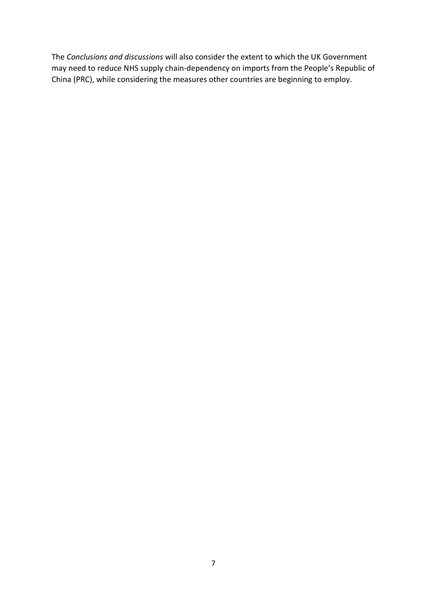The *Conclusions and discussions* will also consider the extent to which the UK Government may need to reduce NHS supply chain-dependency on imports from the People's Republic of China (PRC), while considering the measures other countries are beginning to employ.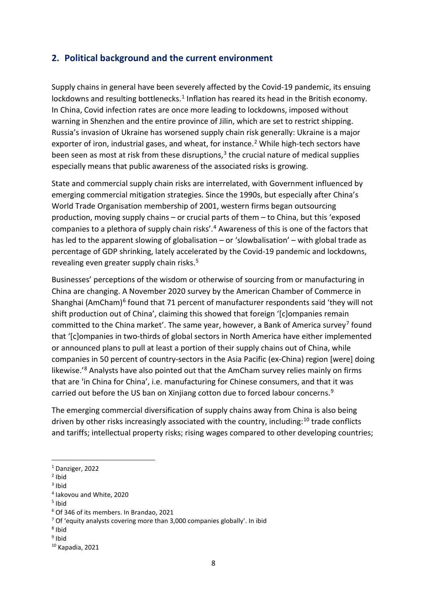## <span id="page-8-0"></span>**2. Political background and the current environment**

Supply chains in general have been severely affected by the Covid-19 pandemic, its ensuing lockdowns and resulting bottlenecks.<sup>[1](#page-8-1)</sup> Inflation has reared its head in the British economy. In China, Covid infection rates are once more leading to lockdowns, imposed without warning in Shenzhen and the entire province of Jilin, which are set to restrict shipping. Russia's invasion of Ukraine has worsened supply chain risk generally: Ukraine is a major exporter of iron, industrial gases, and wheat, for instance.<sup>2</sup> While high-tech sectors have been seen as most at risk from these disruptions, $3$  the crucial nature of medical supplies especially means that public awareness of the associated risks is growing.

State and commercial supply chain risks are interrelated, with Government influenced by emerging commercial mitigation strategies. Since the 1990s, but especially after China's World Trade Organisation membership of 2001, western firms began outsourcing production, moving supply chains – or crucial parts of them – to China, but this 'exposed companies to a plethora of supply chain risks'.[4](#page-8-4) Awareness of this is one of the factors that has led to the apparent slowing of globalisation – or 'slowbalisation' – with global trade as percentage of GDP shrinking, lately accelerated by the Covid-19 pandemic and lockdowns, revealing even greater supply chain risks.<sup>[5](#page-8-5)</sup>

Businesses' perceptions of the wisdom or otherwise of sourcing from or manufacturing in China are changing. A November 2020 survey by the American Chamber of Commerce in Shanghai (AmCham)<sup>6</sup> found that 71 percent of manufacturer respondents said 'they will not shift production out of China', claiming this showed that foreign '[c]ompanies remain committed to the China market'. The same year, however, a Bank of America survey<sup>[7](#page-8-7)</sup> found that '[c]ompanies in two-thirds of global sectors in North America have either implemented or announced plans to pull at least a portion of their supply chains out of China, while companies in 50 percent of country-sectors in the Asia Pacific (ex-China) region [were] doing likewise.<sup>'[8](#page-8-8)</sup> Analysts have also pointed out that the AmCham survey relies mainly on firms that are 'in China for China', i.e. manufacturing for Chinese consumers, and that it was carried out before the US ban on Xinjiang cotton due to forced labour concerns.<sup>[9](#page-8-9)</sup>

The emerging commercial diversification of supply chains away from China is also being driven by other risks increasingly associated with the country, including:<sup>[10](#page-8-10)</sup> trade conflicts and tariffs; intellectual property risks; rising wages compared to other developing countries;

<span id="page-8-1"></span><sup>1</sup> Danziger, 2022

<span id="page-8-2"></span><sup>2</sup> Ibid

<span id="page-8-3"></span> $3$  Ibid

<span id="page-8-4"></span><sup>4</sup> Iakovou and White, 2020

<span id="page-8-5"></span> $<sup>5</sup>$  Ibid</sup>

<span id="page-8-6"></span><sup>6</sup> Of 346 of its members. In Brandao, 2021

<sup>7</sup> Of 'equity analysts covering more than 3,000 companies globally'. In ibid

<span id="page-8-8"></span><span id="page-8-7"></span><sup>8</sup> Ibid

<span id="page-8-10"></span><span id="page-8-9"></span><sup>9</sup> Ibid

<sup>10</sup> Kapadia, 2021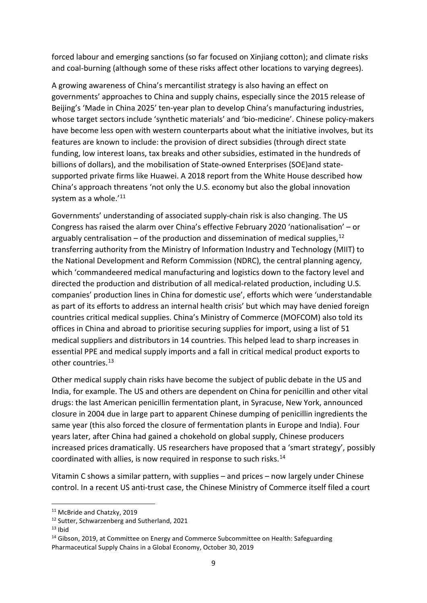forced labour and emerging sanctions (so far focused on Xinjiang cotton); and climate risks and coal-burning (although some of these risks affect other locations to varying degrees).

A growing awareness of China's mercantilist strategy is also having an effect on governments' approaches to China and supply chains, especially since the 2015 release of Beijing's 'Made in China 2025' ten-year plan to develop China's manufacturing industries, whose target sectors include 'synthetic materials' and 'bio-medicine'. Chinese policy-makers have become less open with western counterparts about what the initiative involves, but its features are known to include: the provision of direct subsidies (through direct state funding, low interest loans, tax breaks and other subsidies, estimated in the hundreds of billions of dollars), and the mobilisation of State-owned Enterprises (SOE)and statesupported private firms like Huawei. A 2018 report from the White House described how China's approach threatens 'not only the U.S. economy but also the global innovation system as a whole.'<sup>[11](#page-9-0)</sup>

Governments' understanding of associated supply-chain risk is also changing. The US Congress has raised the alarm over China's effective February 2020 'nationalisation' – or arguably centralisation – of the production and dissemination of medical supplies,  $12$ transferring authority from the Ministry of Information Industry and Technology (MIIT) to the National Development and Reform Commission (NDRC), the central planning agency, which 'commandeered medical manufacturing and logistics down to the factory level and directed the production and distribution of all medical-related production, including U.S. companies' production lines in China for domestic use', efforts which were 'understandable as part of its efforts to address an internal health crisis' but which may have denied foreign countries critical medical supplies. China's Ministry of Commerce (MOFCOM) also told its offices in China and abroad to prioritise securing supplies for import, using a list of 51 medical suppliers and distributors in 14 countries. This helped lead to sharp increases in essential PPE and medical supply imports and a fall in critical medical product exports to other countries.<sup>[13](#page-9-2)</sup>

Other medical supply chain risks have become the subject of public debate in the US and India, for example. The US and others are dependent on China for penicillin and other vital drugs: the last American penicillin fermentation plant, in Syracuse, New York, announced closure in 2004 due in large part to apparent Chinese dumping of penicillin ingredients the same year (this also forced the closure of fermentation plants in Europe and India). Four years later, after China had gained a chokehold on global supply, Chinese producers increased prices dramatically. US researchers have proposed that a 'smart strategy', possibly coordinated with allies, is now required in response to such risks. [14](#page-9-3)

Vitamin C shows a similar pattern, with supplies – and prices – now largely under Chinese control. In a recent US anti-trust case, the Chinese Ministry of Commerce itself filed a court

<span id="page-9-0"></span><sup>&</sup>lt;sup>11</sup> McBride and Chatzky, 2019

<span id="page-9-1"></span> $12$  Sutter, Schwarzenberg and Sutherland, 2021<br> $13$  Ihid

<span id="page-9-2"></span>

<span id="page-9-3"></span><sup>&</sup>lt;sup>14</sup> Gibson, 2019, at Committee on Energy and Commerce Subcommittee on Health: Safeguarding Pharmaceutical Supply Chains in a Global Economy, October 30, 2019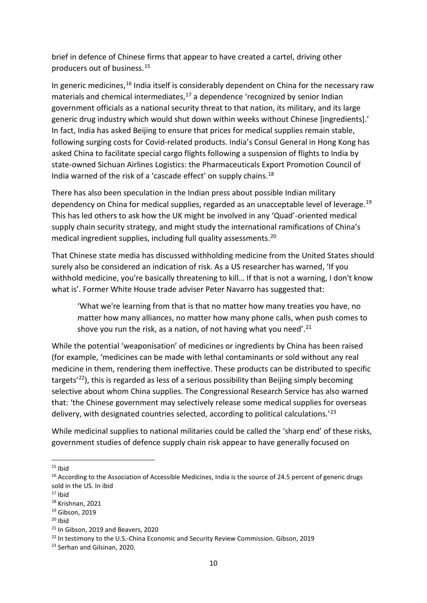brief in defence of Chinese firms that appear to have created a cartel, driving other producers out of business.[15](#page-10-0)

In generic medicines,  $16$  India itself is considerably dependent on China for the necessary raw materials and chemical intermediates, $17$  a dependence 'recognized by senior Indian government officials as a national security threat to that nation, its military, and its large generic drug industry which would shut down within weeks without Chinese [ingredients].' In fact, India has asked Beijing to ensure that prices for medical supplies remain stable, following surging costs for Covid-related products. India's Consul General in Hong Kong has asked China to facilitate special cargo flights following a suspension of flights to India by state-owned Sichuan Airlines Logistics: the Pharmaceuticals Export Promotion Council of India warned of the risk of a 'cascade effect' on supply chains.<sup>[18](#page-10-3)</sup>

There has also been speculation in the Indian press about possible Indian military dependency on China for medical supplies, regarded as an unacceptable level of leverage.<sup>[19](#page-10-4)</sup> This has led others to ask how the UK might be involved in any 'Quad'-oriented medical supply chain security strategy, and might study the international ramifications of China's medical ingredient supplies, including full quality assessments.<sup>[20](#page-10-5)</sup>

That Chinese state media has discussed withholding medicine from the United States should surely also be considered an indication of risk. As a US researcher has warned, 'If you withhold medicine, you're basically threatening to kill... If that is not a warning, I don't know what is'. Former White House trade adviser Peter Navarro has suggested that:

'What we're learning from that is that no matter how many treaties you have, no matter how many alliances, no matter how many phone calls, when push comes to shove you run the risk, as a nation, of not having what you need'. $^{21}$ 

While the potential 'weaponisation' of medicines or ingredients by China has been raised (for example, 'medicines can be made with lethal contaminants or sold without any real medicine in them, rendering them ineffective. These products can be distributed to specific targets<sup>'22</sup>), this is regarded as less of a serious possibility than Beijing simply becoming selective about whom China supplies. The Congressional Research Service has also warned that: 'the Chinese government may selectively release some medical supplies for overseas delivery, with designated countries selected, according to political calculations.'[23](#page-10-8)

While medicinal supplies to national militaries could be called the 'sharp end' of these risks, government studies of defence supply chain risk appear to have generally focused on

<span id="page-10-0"></span> $15$  Ibid

<span id="page-10-1"></span><sup>&</sup>lt;sup>16</sup> According to the Association of Accessible Medicines, India is the source of 24.5 percent of generic drugs sold in the US. In ibid

<span id="page-10-2"></span> $17$  Ibid<br> $18$  Krishnan, 2021

<span id="page-10-4"></span><span id="page-10-3"></span><sup>19</sup> Gibson, 2019

<span id="page-10-6"></span><span id="page-10-5"></span><sup>&</sup>lt;sup>20</sup> Ibid<br><sup>21</sup> In Gibson, 2019 and Beavers, 2020<br><sup>22</sup> In testimony to the U.S.-China Economic and Security Review Commission. Gibson, 2019

<span id="page-10-8"></span><span id="page-10-7"></span><sup>23</sup> Serhan and Gilsinan, 2020.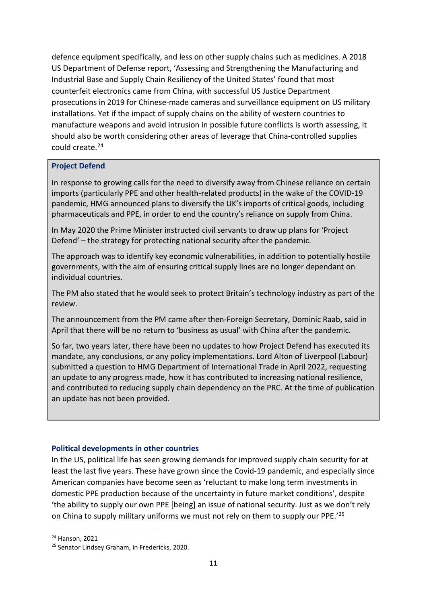defence equipment specifically, and less on other supply chains such as medicines. A 2018 US Department of Defense report, 'Assessing and Strengthening the Manufacturing and Industrial Base and Supply Chain Resiliency of the United States' found that most counterfeit electronics came from China, with successful US Justice Department prosecutions in 2019 for Chinese-made cameras and surveillance equipment on US military installations. Yet if the impact of supply chains on the ability of western countries to manufacture weapons and avoid intrusion in possible future conflicts is worth assessing, it should also be worth considering other areas of leverage that China-controlled supplies could create.[24](#page-11-1)

#### **Project Defend**

In response to growing calls for the need to diversify away from Chinese reliance on certain imports (particularly PPE and other health-related products) in the wake of the COVID-19 pandemic, HMG announced plans to diversify the UK's imports of critical goods, including pharmaceuticals and PPE, in order to end the country's reliance on supply from China.

In May 2020 the Prime Minister instructed civil servants to draw up plans for 'Project Defend' – the strategy for protecting national security after the pandemic.

The approach was to identify key economic vulnerabilities, in addition to potentially hostile governments, with the aim of ensuring critical supply lines are no longer dependant on individual countries.

The PM also stated that he would seek to protect Britain's technology industry as part of the review.

The announcement from the PM came after then-Foreign Secretary, Dominic Raab, [said in](https://news.sky.com/story/coronavirus-no-more-business-as-usual-with-china-after-covid-19-crisis-warns-dominic-raab-11974398)  [April](https://news.sky.com/story/coronavirus-no-more-business-as-usual-with-china-after-covid-19-crisis-warns-dominic-raab-11974398) that there will be no return to 'business as usual' with China after the pandemic.

So far, two years later, there have been no updates to how Project Defend has executed its mandate, any conclusions, or any policy implementations. Lord Alton of Liverpool (Labour) submitted a question to HMG Department of International Trade in April 2022, requesting an update to any progress made, how it has contributed to increasing national resilience, and contributed to reducing supply chain dependency on the PRC. At the time of publication an update has not been provided.

#### <span id="page-11-0"></span>**Political developments in other countries**

In the US, political life has seen growing demands for improved supply chain security for at least the last five years. These have grown since the Covid-19 pandemic, and especially since American companies have become seen as 'reluctant to make long term investments in domestic PPE production because of the uncertainty in future market conditions', despite 'the ability to supply our own PPE [being] an issue of national security. Just as we don't rely on China to supply military uniforms we must not rely on them to supply our PPE.'[25](#page-11-2)

<span id="page-11-2"></span><span id="page-11-1"></span> $24$  Hanson, 2021<br> $25$  Senator Lindsey Graham, in Fredericks, 2020.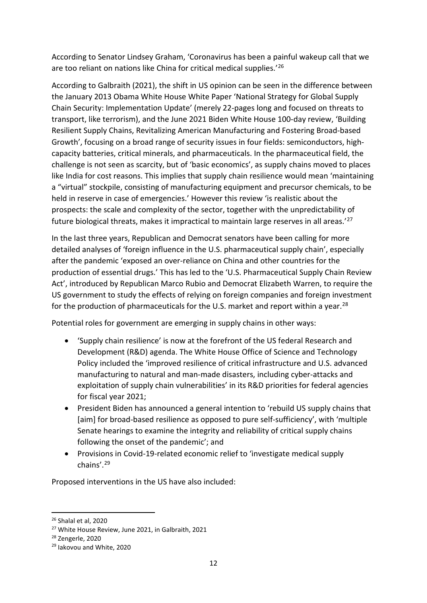According to Senator Lindsey Graham, 'Coronavirus has been a painful wakeup call that we are too reliant on nations like China for critical medical supplies.'[26](#page-12-0)

According to Galbraith (2021), the shift in US opinion can be seen in the difference between the January 2013 Obama White House White Paper 'National Strategy for Global Supply Chain Security: Implementation Update' (merely 22-pages long and focused on threats to transport, like terrorism), and the June 2021 Biden White House 100-day review, 'Building Resilient Supply Chains, Revitalizing American Manufacturing and Fostering Broad-based Growth', focusing on a broad range of security issues in four fields: semiconductors, highcapacity batteries, critical minerals, and pharmaceuticals. In the pharmaceutical field, the challenge is not seen as scarcity, but of 'basic economics', as supply chains moved to places like India for cost reasons. This implies that supply chain resilience would mean 'maintaining a "virtual" stockpile, consisting of manufacturing equipment and precursor chemicals, to be held in reserve in case of emergencies.' However this review 'is realistic about the prospects: the scale and complexity of the sector, together with the unpredictability of future biological threats, makes it impractical to maintain large reserves in all areas.'[27](#page-12-1)

In the last three years, Republican and Democrat senators have been calling for more detailed analyses of 'foreign influence in the U.S. pharmaceutical supply chain', especially after the pandemic 'exposed an over-reliance on China and other countries for the production of essential drugs.' This has led to the 'U.S. Pharmaceutical Supply Chain Review Act', introduced by Republican Marco Rubio and Democrat Elizabeth Warren, to require the US government to study the effects of relying on foreign companies and foreign investment for the production of pharmaceuticals for the U.S. market and report within a year.<sup>[28](#page-12-2)</sup>

Potential roles for government are emerging in supply chains in other ways:

- 'Supply chain resilience' is now at the forefront of the US federal Research and Development (R&D) agenda. The White House Office of Science and Technology Policy included the 'improved resilience of critical infrastructure and U.S. advanced manufacturing to natural and man-made disasters, including cyber-attacks and exploitation of supply chain vulnerabilities' in its R&D priorities for federal agencies for fiscal year 2021;
- President Biden has announced a general intention to 'rebuild US supply chains that [aim] for broad-based resilience as opposed to pure self-sufficiency', with 'multiple Senate hearings to examine the integrity and reliability of critical supply chains following the onset of the pandemic'; and
- Provisions in Covid-19-related economic relief to 'investigate medical supply chains'.[29](#page-12-3)

Proposed interventions in the US have also included:

<span id="page-12-0"></span><sup>26</sup> Shalal et al, 2020

<span id="page-12-2"></span><span id="page-12-1"></span><sup>&</sup>lt;sup>27</sup> White House Review, June 2021, in Galbraith, 2021<br><sup>28</sup> Zengerle, 2020<br><sup>29</sup> Iakovou and White, 2020

<span id="page-12-3"></span>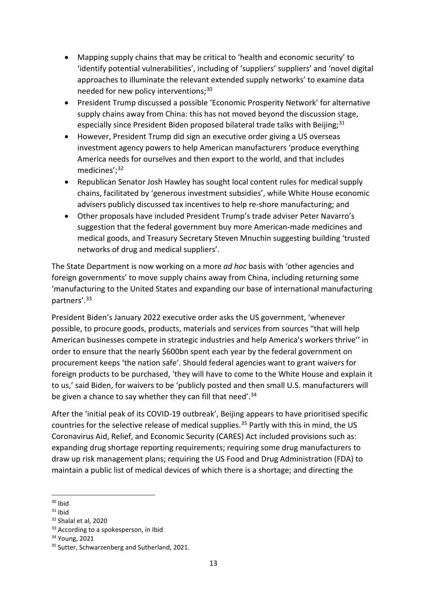- Mapping supply chains that may be critical to 'health and economic security' to 'identify potential vulnerabilities', including of 'suppliers' suppliers' and 'novel digital approaches to illuminate the relevant extended supply networks' to examine data needed for new policy interventions;<sup>[30](#page-13-0)</sup>
- President Trump discussed a possible 'Economic Prosperity Network' for alternative supply chains away from China: this has not moved beyond the discussion stage, especially since President Biden proposed bilateral trade talks with Beijing; $31$
- However, President Trump did sign an executive order giving a US overseas investment agency powers to help American manufacturers 'produce everything America needs for ourselves and then export to the world, and that includes medicines';[32](#page-13-2)
- Republican Senator Josh Hawley has sought local content rules for medical supply chains, facilitated by 'generous investment subsidies', while White House economic advisers publicly discussed tax incentives to help re-shore manufacturing; and
- Other proposals have included President Trump's trade adviser Peter Navarro's suggestion that the federal government buy more American-made medicines and medical goods, and Treasury Secretary Steven Mnuchin suggesting building 'trusted networks of drug and medical suppliers'.

The State Department is now working on a more *ad hoc* basis with 'other agencies and foreign governments' to move supply chains away from China, including returning some 'manufacturing to the United States and expanding our base of international manufacturing partners'.<sup>[33](#page-13-3)</sup>

President Biden's January 2022 executive order asks the US government, 'whenever possible, to procure goods, products, materials and services from sources "that will help American businesses compete in strategic industries and help America's workers thrive'' in order to ensure that the nearly \$600bn spent each year by the federal government on procurement keeps 'the nation safe'. Should federal agencies want to grant waivers for foreign products to be purchased, 'they will have to come to the White House and explain it to us,' said Biden, for waivers to be 'publicly posted and then small U.S. manufacturers will be given a chance to say whether they can fill that need'.<sup>[34](#page-13-4)</sup>

After the 'initial peak of its COVID-19 outbreak', Beijing appears to have prioritised specific countries for the selective release of medical supplies.<sup>[35](#page-13-5)</sup> Partly with this in mind, the US Coronavirus Aid, Relief, and Economic Security (CARES) Act included provisions such as: expanding drug shortage reporting requirements; requiring some drug manufacturers to draw up risk management plans; requiring the US Food and Drug Administration (FDA) to maintain a public list of medical devices of which there is a shortage; and directing the

<span id="page-13-0"></span> $30$  Ibid<br> $31$  Ibid

<span id="page-13-2"></span><span id="page-13-1"></span> $32$  Shalal et al, 2020<br> $33$  According to a spokesperson, in Ibid

<span id="page-13-4"></span><span id="page-13-3"></span><sup>34</sup> Young, 2021

<span id="page-13-5"></span><sup>&</sup>lt;sup>35</sup> Sutter, Schwarzenberg and Sutherland, 2021.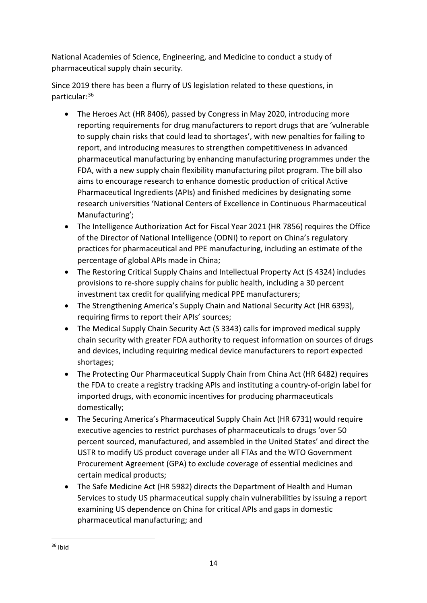National Academies of Science, Engineering, and Medicine to conduct a study of pharmaceutical supply chain security.

Since 2019 there has been a flurry of US legislation related to these questions, in particular:[36](#page-14-0)

- The Heroes Act (HR 8406), passed by Congress in May 2020, introducing more reporting requirements for drug manufacturers to report drugs that are 'vulnerable to supply chain risks that could lead to shortages', with new penalties for failing to report, and introducing measures to strengthen competitiveness in advanced pharmaceutical manufacturing by enhancing manufacturing programmes under the FDA, with a new supply chain flexibility manufacturing pilot program. The bill also aims to encourage research to enhance domestic production of critical Active Pharmaceutical Ingredients (APIs) and finished medicines by designating some research universities 'National Centers of Excellence in Continuous Pharmaceutical Manufacturing';
- The Intelligence Authorization Act for Fiscal Year 2021 (HR 7856) requires the Office of the Director of National Intelligence (ODNI) to report on China's regulatory practices for pharmaceutical and PPE manufacturing, including an estimate of the percentage of global APIs made in China;
- The Restoring Critical Supply Chains and Intellectual Property Act (S 4324) includes provisions to re-shore supply chains for public health, including a 30 percent investment tax credit for qualifying medical PPE manufacturers;
- The Strengthening America's Supply Chain and National Security Act (HR 6393), requiring firms to report their APIs' sources;
- The Medical Supply Chain Security Act (S 3343) calls for improved medical supply chain security with greater FDA authority to request information on sources of drugs and devices, including requiring medical device manufacturers to report expected shortages;
- The Protecting Our Pharmaceutical Supply Chain from China Act (HR 6482) requires the FDA to create a registry tracking APIs and instituting a country-of-origin label for imported drugs, with economic incentives for producing pharmaceuticals domestically;
- The Securing America's Pharmaceutical Supply Chain Act (HR 6731) would require executive agencies to restrict purchases of pharmaceuticals to drugs 'over 50 percent sourced, manufactured, and assembled in the United States' and direct the USTR to modify US product coverage under all FTAs and the WTO Government Procurement Agreement (GPA) to exclude coverage of essential medicines and certain medical products;
- The Safe Medicine Act (HR 5982) directs the Department of Health and Human Services to study US pharmaceutical supply chain vulnerabilities by issuing a report examining US dependence on China for critical APIs and gaps in domestic pharmaceutical manufacturing; and

<span id="page-14-0"></span> $36$  Ibid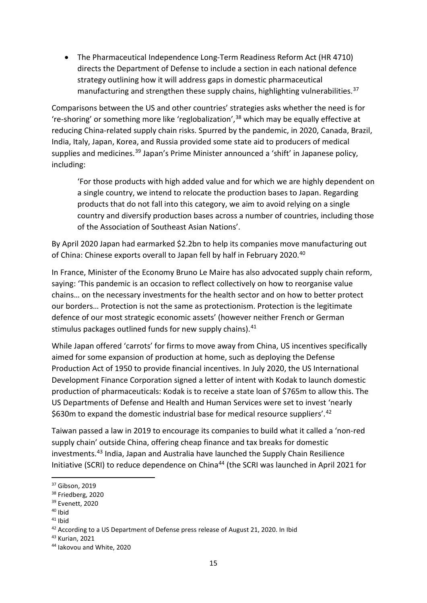• The Pharmaceutical Independence Long-Term Readiness Reform Act (HR 4710) directs the Department of Defense to include a section in each national defence strategy outlining how it will address gaps in domestic pharmaceutical manufacturing and strengthen these supply chains, highlighting vulnerabilities.<sup>37</sup>

Comparisons between the US and other countries' strategies asks whether the need is for 're-shoring' or something more like 'reglobalization',[38](#page-15-1) which may be equally effective at reducing China-related supply chain risks. Spurred by the pandemic, in 2020, Canada, Brazil, India, Italy, Japan, Korea, and Russia provided some state aid to producers of medical supplies and medicines.<sup>[39](#page-15-2)</sup> Japan's Prime Minister announced a 'shift' in Japanese policy, including:

'For those products with high added value and for which we are highly dependent on a single country, we intend to relocate the production bases to Japan. Regarding products that do not fall into this category, we aim to avoid relying on a single country and diversify production bases across a number of countries, including those of the Association of Southeast Asian Nations'.

By April 2020 Japan had earmarked \$2.2bn to help its companies move manufacturing out of China: Chinese exports overall to Japan fell by half in February 2020.<sup>[40](#page-15-3)</sup>

In France, Minister of the Economy Bruno Le Maire has also advocated supply chain reform, saying: 'This pandemic is an occasion to reflect collectively on how to reorganise value chains… on the necessary investments for the health sector and on how to better protect our borders… Protection is not the same as protectionism. Protection is the legitimate defence of our most strategic economic assets' (however neither French or German stimulus packages outlined funds for new supply chains).<sup>[41](#page-15-4)</sup>

While Japan offered 'carrots' for firms to move away from China, US incentives specifically aimed for some expansion of production at home, such as deploying the Defense Production Act of 1950 to provide financial incentives. In July 2020, the US International Development Finance Corporation signed a letter of intent with Kodak to launch domestic production of pharmaceuticals: Kodak is to receive a state loan of \$765m to allow this. The US Departments of Defense and Health and Human Services were set to invest 'nearly \$630m to expand the domestic industrial base for medical resource suppliers'.<sup>42</sup>

Taiwan passed a law in 2019 to encourage its companies to build what it called a 'non-red supply chain' outside China, offering cheap finance and tax breaks for domestic investments.[43](#page-15-6) India, Japan and Australia have launched the Supply Chain Resilience Initiative (SCRI) to reduce dependence on China<sup>[44](#page-15-7)</sup> (the SCRI was launched in April 2021 for

<span id="page-15-1"></span><span id="page-15-0"></span> $\frac{37}{38}$  Friedberg, 2020<br> $\frac{39}{39}$  Evenett, 2020<br> $\frac{40}{39}$  Ibid

<span id="page-15-2"></span>

<span id="page-15-3"></span>

<span id="page-15-5"></span><span id="page-15-4"></span><sup>&</sup>lt;sup>41</sup> Ibid<br><sup>42</sup> According to a US Department of Defense press release of August 21, 2020. In Ibid  $43$  Kurian, 2021

<span id="page-15-7"></span><span id="page-15-6"></span><sup>44</sup> Iakovou and White, 2020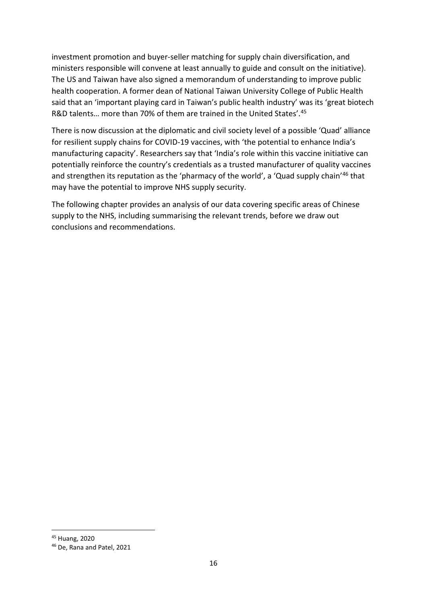investment promotion and buyer-seller matching for supply chain diversification, and ministers responsible will convene at least annually to guide and consult on the initiative). The US and Taiwan have also signed a memorandum of understanding to improve public health cooperation. A former dean of National Taiwan University College of Public Health said that an 'important playing card in Taiwan's public health industry' was its 'great biotech R&D talents... more than 70% of them are trained in the United States'.<sup>[45](#page-16-0)</sup>

There is now discussion at the diplomatic and civil society level of a possible 'Quad' alliance for resilient supply chains for COVID-19 vaccines, with 'the potential to enhance India's manufacturing capacity'. Researchers say that 'India's role within this vaccine initiative can potentially reinforce the country's credentials as a trusted manufacturer of quality vaccines and strengthen its reputation as the 'pharmacy of the world', a 'Quad supply chain'<sup>[46](#page-16-1)</sup> that may have the potential to improve NHS supply security.

The following chapter provides an analysis of our data covering specific areas of Chinese supply to the NHS, including summarising the relevant trends, before we draw out conclusions and recommendations.

<span id="page-16-0"></span><sup>45</sup> Huang, 2020

<span id="page-16-1"></span><sup>46</sup> De, Rana and Patel, 2021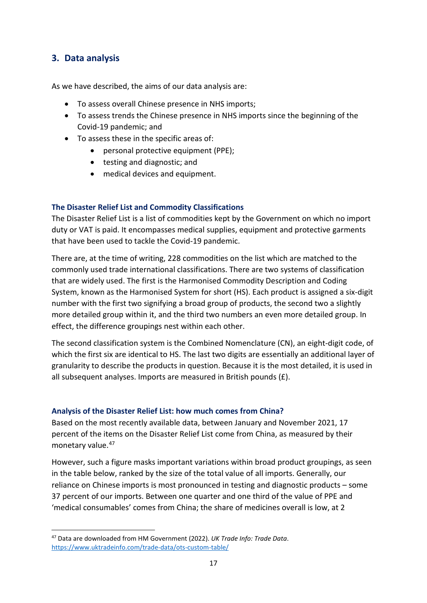## <span id="page-17-0"></span>**3. Data analysis**

As we have described, the aims of our data analysis are:

- To assess overall Chinese presence in NHS imports;
- To assess trends the Chinese presence in NHS imports since the beginning of the Covid-19 pandemic; and
- To assess these in the specific areas of:
	- personal protective equipment (PPE);
	- testing and diagnostic; and
	- medical devices and equipment.

#### <span id="page-17-1"></span>**The Disaster Relief List and Commodity Classifications**

The Disaster Relief List is a list of commodities kept by the Government on which no import duty or VAT is paid. It encompasses medical supplies, equipment and protective garments that have been used to tackle the Covid-19 pandemic.

There are, at the time of writing, 228 commodities on the list which are matched to the commonly used trade international classifications. There are two systems of classification that are widely used. The first is the Harmonised Commodity Description and Coding System, known as the Harmonised System for short (HS). Each product is assigned a six-digit number with the first two signifying a broad group of products, the second two a slightly more detailed group within it, and the third two numbers an even more detailed group. In effect, the difference groupings nest within each other.

The second classification system is the Combined Nomenclature (CN), an eight-digit code, of which the first six are identical to HS. The last two digits are essentially an additional layer of granularity to describe the products in question. Because it is the most detailed, it is used in all subsequent analyses. Imports are measured in British pounds (£).

#### <span id="page-17-2"></span>**Analysis of the Disaster Relief List: how much comes from China?**

Based on the most recently available data, between January and November 2021, 17 percent of the items on the Disaster Relief List come from China, as measured by their monetary value. [47](#page-17-3)

However, such a figure masks important variations within broad product groupings, as seen in the table below, ranked by the size of the total value of all imports. Generally, our reliance on Chinese imports is most pronounced in testing and diagnostic products – some 37 percent of our imports. Between one quarter and one third of the value of PPE and 'medical consumables' comes from China; the share of medicines overall is low, at 2

<span id="page-17-3"></span><sup>47</sup> Data are downloaded from HM Government (2022). *UK Trade Info: Trade Data*. <https://www.uktradeinfo.com/trade-data/ots-custom-table/>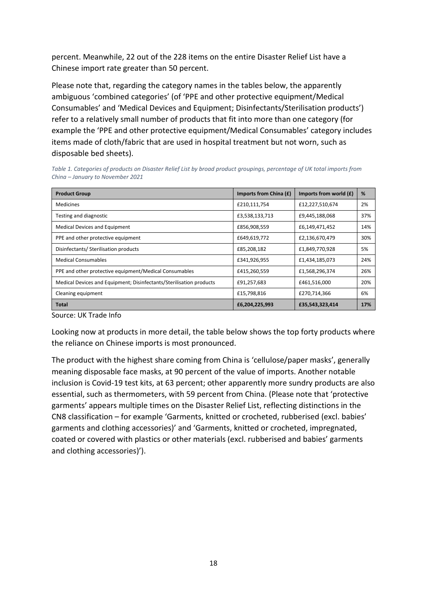percent. Meanwhile, 22 out of the 228 items on the entire Disaster Relief List have a Chinese import rate greater than 50 percent.

Please note that, regarding the category names in the tables below, the apparently ambiguous 'combined categories' (of 'PPE and other protective equipment/Medical Consumables' and 'Medical Devices and Equipment; Disinfectants/Sterilisation products') refer to a relatively small number of products that fit into more than one category (for example the 'PPE and other protective equipment/Medical Consumables' category includes items made of cloth/fabric that are used in hospital treatment but not worn, such as disposable bed sheets).

*Table 1. Categories of products on Disaster Relief List by broad product groupings, percentage of UK total imports from China – January to November 2021*

| <b>Product Group</b>                                                | Imports from China (£) | Imports from world $(f)$ | %   |
|---------------------------------------------------------------------|------------------------|--------------------------|-----|
| <b>Medicines</b>                                                    | £210,111,754           | £12,227,510,674          | 2%  |
| Testing and diagnostic                                              | £3,538,133,713         | £9,445,188,068           | 37% |
| Medical Devices and Equipment                                       | £856,908,559           | £6,149,471,452           | 14% |
| PPE and other protective equipment                                  | £649,619,772           | £2,136,670,479           | 30% |
| Disinfectants/ Sterilisation products                               | £85,208,182            | £1,849,770,928           | 5%  |
| <b>Medical Consumables</b>                                          | £341,926,955           | £1,434,185,073           | 24% |
| PPE and other protective equipment/Medical Consumables              | £415,260,559           | £1,568,296,374           | 26% |
| Medical Devices and Equipment; Disinfectants/Sterilisation products | £91,257,683            | £461,516,000             | 20% |
| Cleaning equipment                                                  | £15,798,816            | £270,714,366             | 6%  |
| <b>Total</b>                                                        | £6,204,225,993         | £35,543,323,414          | 17% |

Source: UK Trade Info

Looking now at products in more detail, the table below shows the top forty products where the reliance on Chinese imports is most pronounced.

The product with the highest share coming from China is 'cellulose/paper masks', generally meaning disposable face masks, at 90 percent of the value of imports. Another notable inclusion is Covid-19 test kits, at 63 percent; other apparently more sundry products are also essential, such as thermometers, with 59 percent from China. (Please note that 'protective garments' appears multiple times on the Disaster Relief List, reflecting distinctions in the CN8 classification – for example 'Garments, knitted or crocheted, rubberised (excl. babies' garments and clothing accessories)' and 'Garments, knitted or crocheted, impregnated, coated or covered with plastics or other materials (excl. rubberised and babies' garments and clothing accessories)').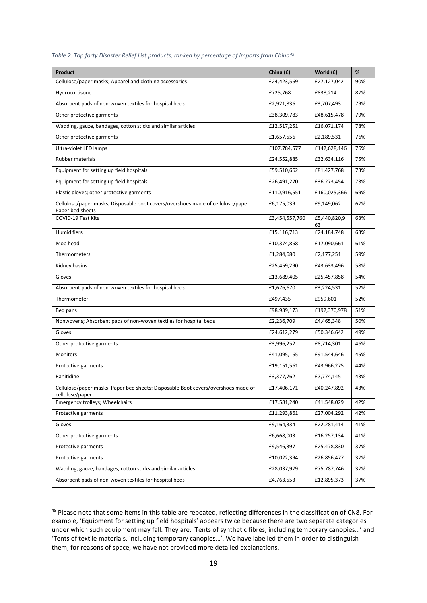| Product                                                                                              | China (£)      | World (£)          | %   |
|------------------------------------------------------------------------------------------------------|----------------|--------------------|-----|
| Cellulose/paper masks; Apparel and clothing accessories                                              | £24,423,569    | £27,127,042        | 90% |
| Hydrocortisone                                                                                       | £725,768       | £838,214           | 87% |
| Absorbent pads of non-woven textiles for hospital beds                                               | £2,921,836     | £3,707,493         | 79% |
| Other protective garments                                                                            | £38,309,783    | £48,615,478        | 79% |
| Wadding, gauze, bandages, cotton sticks and similar articles                                         | £12,517,251    | £16,071,174        | 78% |
| Other protective garments                                                                            | £1,657,556     | £2,189,531         | 76% |
| Ultra-violet LED lamps                                                                               | £107,784,577   | £142,628,146       | 76% |
| Rubber materials                                                                                     | £24,552,885    | £32,634,116        | 75% |
| Equipment for setting up field hospitals                                                             | £59,510,662    | £81,427,768        | 73% |
| Equipment for setting up field hospitals                                                             | £26,491,270    | £36,273,454        | 73% |
| Plastic gloves; other protective garments                                                            | £110,916,551   | £160,025,366       | 69% |
| Cellulose/paper masks; Disposable boot covers/overshoes made of cellulose/paper;<br>Paper bed sheets | £6,175,039     | £9,149,062         | 67% |
| COVID-19 Test Kits                                                                                   | £3,454,557,760 | £5,440,820,9<br>63 | 63% |
| Humidifiers                                                                                          | £15,116,713    | £24,184,748        | 63% |
| Mop head                                                                                             | £10,374,868    | £17,090,661        | 61% |
| Thermometers                                                                                         | £1,284,680     | £2,177,251         | 59% |
| Kidney basins                                                                                        | £25,459,290    | £43,633,496        | 58% |
| Gloves                                                                                               | £13,689,405    | £25,457,858        | 54% |
| Absorbent pads of non-woven textiles for hospital beds                                               | £1,676,670     | £3,224,531         | 52% |
| Thermometer                                                                                          | £497,435       | £959,601           | 52% |
| Bed pans                                                                                             | £98,939,173    | £192,370,978       | 51% |
| Nonwovens; Absorbent pads of non-woven textiles for hospital beds                                    | £2,236,709     | £4,465,348         | 50% |
| Gloves                                                                                               | £24,612,279    | £50,346,642        | 49% |
| Other protective garments                                                                            | £3,996,252     | £8,714,301         | 46% |
| Monitors                                                                                             | £41,095,165    | £91,544,646        | 45% |
| Protective garments                                                                                  | £19,151,561    | £43,966,275        | 44% |
| Ranitidine                                                                                           | £3,377,762     | £7,774,145         | 43% |
| Cellulose/paper masks; Paper bed sheets; Disposable Boot covers/overshoes made of<br>cellulose/paper | £17,406,171    | £40,247,892        | 43% |
| Emergency trolleys; Wheelchairs                                                                      | £17,581,240    | £41,548,029        | 42% |
| Protective garments                                                                                  | £11,293,861    | £27,004,292        | 42% |
| Gloves                                                                                               | £9,164,334     | £22,281,414        | 41% |
| Other protective garments                                                                            | £6,668,003     | £16,257,134        | 41% |
| Protective garments                                                                                  | £9,546,397     | £25,478,830        | 37% |
| Protective garments                                                                                  | £10,022,394    | £26,856,477        | 37% |
| Wadding, gauze, bandages, cotton sticks and similar articles                                         | £28,037,979    | £75,787,746        | 37% |
| Absorbent pads of non-woven textiles for hospital beds                                               | £4,763,553     | £12,895,373        | 37% |
|                                                                                                      |                |                    |     |

|  |  |  | Table 2. Top forty Disaster Relief List products, ranked by percentage of imports from China <sup>48</sup> |  |  |  |  |
|--|--|--|------------------------------------------------------------------------------------------------------------|--|--|--|--|
|--|--|--|------------------------------------------------------------------------------------------------------------|--|--|--|--|

<span id="page-19-0"></span><sup>48</sup> Please note that some items in this table are repeated, reflecting differences in the classification of CN8. For example, 'Equipment for setting up field hospitals' appears twice because there are two separate categories under which such equipment may fall. They are: 'Tents of synthetic fibres, including temporary canopies…' and 'Tents of textile materials, including temporary canopies…'. We have labelled them in order to distinguish them; for reasons of space, we have not provided more detailed explanations.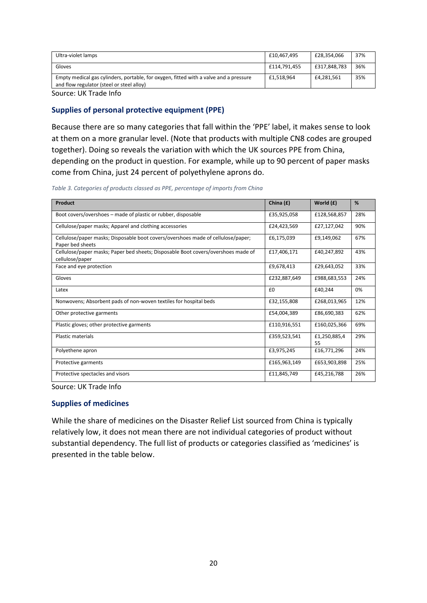| Gloves                                                                                                                             |              |              |     |
|------------------------------------------------------------------------------------------------------------------------------------|--------------|--------------|-----|
|                                                                                                                                    | £114.791.455 | £317,848,783 | 36% |
| Empty medical gas cylinders, portable, for oxygen, fitted with a valve and a pressure<br>and flow regulator (steel or steel alloy) | £1.518.964   | £4,281,561   | 35% |

Source: UK Trade Info

#### **Supplies of personal protective equipment (PPE)**

Because there are so many categories that fall within the 'PPE' label, it makes sense to look at them on a more granular level. (Note that products with multiple CN8 codes are grouped together). Doing so reveals the variation with which the UK sources PPE from China, depending on the product in question. For example, while up to 90 percent of paper masks come from China, just 24 percent of polyethylene aprons do.

*Table 3. Categories of products classed as PPE, percentage of imports from China* 

| Product                                                                                              | China (£)    | World (£)          | %   |
|------------------------------------------------------------------------------------------------------|--------------|--------------------|-----|
| Boot covers/overshoes – made of plastic or rubber, disposable                                        | £35,925,058  | £128,568,857       | 28% |
| Cellulose/paper masks; Apparel and clothing accessories                                              | £24,423,569  | £27,127,042        | 90% |
| Cellulose/paper masks; Disposable boot covers/overshoes made of cellulose/paper;<br>Paper bed sheets | £6,175,039   | £9,149,062         | 67% |
| Cellulose/paper masks; Paper bed sheets; Disposable Boot covers/overshoes made of<br>cellulose/paper | £17,406,171  | £40,247,892        | 43% |
| Face and eye protection                                                                              | £9,678,413   | £29,643,052        | 33% |
| Gloves                                                                                               | £232,887,649 | £988,683,553       | 24% |
| Latex                                                                                                | £0           | £40.244            | 0%  |
| Nonwovens; Absorbent pads of non-woven textiles for hospital beds                                    | £32,155,808  | £268,013,965       | 12% |
| Other protective garments                                                                            | £54.004.389  | £86.690.383        | 62% |
| Plastic gloves; other protective garments                                                            | £110,916,551 | £160,025,366       | 69% |
| <b>Plastic materials</b>                                                                             | £359,523,541 | £1,250,885,4<br>55 | 29% |
| Polyethene apron                                                                                     | £3,975,245   | £16,771,296        | 24% |
| Protective garments                                                                                  | £165,963,149 | £653,903,898       | 25% |
| Protective spectacles and visors                                                                     | £11,845,749  | £45.216.788        | 26% |

Source: UK Trade Info

#### **Supplies of medicines**

While the share of medicines on the Disaster Relief List sourced from China is typically relatively low, it does not mean there are not individual categories of product without substantial dependency. The full list of products or categories classified as 'medicines' is presented in the table below.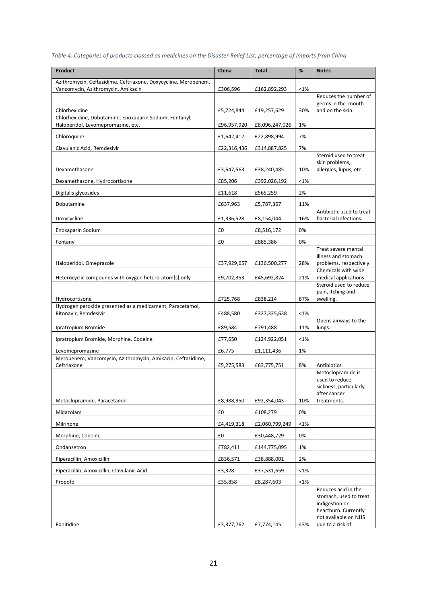| Table 4. Categories of products classed as medicines on the Disaster Relief List, percentage of imports from China |  |
|--------------------------------------------------------------------------------------------------------------------|--|
|--------------------------------------------------------------------------------------------------------------------|--|

| Product                                                                            | China       | <b>Total</b>   | %   | <b>Notes</b>                                                                                                    |
|------------------------------------------------------------------------------------|-------------|----------------|-----|-----------------------------------------------------------------------------------------------------------------|
| Azithromycin, Ceftazidime, Ceftriaxone, Doxycycline, Meropenem,                    |             |                |     |                                                                                                                 |
| Vancomycin, Azithromycin, Amikacin                                                 | £306,596    | £162,892,293   | <1% | Reduces the number of                                                                                           |
| Chlorhexidine                                                                      | £5,724,844  | £19,257,629    | 30% | germs in the mouth<br>and on the skin.                                                                          |
| Chlorhexidine, Dobutamine, Enoxaparin Sodium, Fentanyl,                            |             |                |     |                                                                                                                 |
| Haloperidol, Levomepromazine, etc.                                                 | £96,957,920 | £8,096,247,026 | 1%  |                                                                                                                 |
| Chloroquine                                                                        | £1,642,417  | £22,898,994    | 7%  |                                                                                                                 |
| Clavulanic Acid, Remdesivir                                                        | £22,316,436 | £314,887,825   | 7%  | Steroid used to treat                                                                                           |
| Dexamethasone                                                                      | £3,647,563  | £38,240,485    | 10% | skin problems,<br>allergies, lupus, etc.                                                                        |
| Dexamethasone, Hydrocortisone                                                      | £85,206     | £392,026,192   | <1% |                                                                                                                 |
| Digitalis glycosides                                                               | £11,618     | £565,259       | 2%  |                                                                                                                 |
| Dobutamine                                                                         | £637,963    | £5,787,367     | 11% |                                                                                                                 |
| Doxycycline                                                                        | £1,336,528  | £8,154,044     | 16% | Antibiotic used to treat<br>bacterial infections.                                                               |
| Enoxaparin Sodium                                                                  | £0          | £8,516,172     | 0%  |                                                                                                                 |
| Fentanyl                                                                           | £0          | £885,386       | 0%  |                                                                                                                 |
|                                                                                    |             |                |     | Treat severe mental<br>illness and stomach                                                                      |
| Haloperidol, Omeprazole                                                            | £37,929,657 | £136,500,277   | 28% | problems, respectively.                                                                                         |
| Heterocyclic compounds with oxygen hetero-atom[s] only                             | £9,702,353  | £45,692,824    | 21% | Chemicals with wide<br>medical applications.                                                                    |
|                                                                                    |             |                |     | Steroid used to reduce<br>pain, itching and                                                                     |
| Hydrocortisone                                                                     | £725,768    | £838,214       | 87% | swelling.                                                                                                       |
| Hydrogen peroxide presented as a medicament, Paracetamol,<br>Ritonavir, Remdesivir | £488,580    | £327,335,638   | <1% |                                                                                                                 |
| Ipratropium Bromide                                                                | £89,584     | £791,488       | 11% | Opens airways to the<br>lungs.                                                                                  |
| Ipratropium Bromide, Morphine, Codeine                                             | £77,650     | £124,922,051   | <1% |                                                                                                                 |
| Levomepromazine                                                                    | £6,775      | £1,111,436     | 1%  |                                                                                                                 |
| Meropenem, Vancomycin, Azithromycin, Amikacin, Ceftazidime,<br>Ceftriaxone         | £5,275,583  | £63,775,751    | 8%  | Antibiotics.                                                                                                    |
|                                                                                    |             |                |     | Metoclopramide is<br>used to reduce                                                                             |
|                                                                                    |             |                |     | sickness, particularly<br>after cancer                                                                          |
| Metoclopramide, Paracetamol                                                        | £8,988,950  | £92,354,043    | 10% | treatments.                                                                                                     |
| Midazolam                                                                          | £0          | £108,279       | 0%  |                                                                                                                 |
| Milrinone                                                                          | £4,419,318  | £2,060,799,249 | <1% |                                                                                                                 |
| Morphine, Codeine                                                                  | £0          | £30,448,729    | 0%  |                                                                                                                 |
| Ondansetron                                                                        | £782,411    | £144,775,095   | 1%  |                                                                                                                 |
| Piperacillin, Amoxicillin                                                          | £836,571    | £38,888,001    | 2%  |                                                                                                                 |
| Piperacillin, Amoxicillin, Clavulanic Acid                                         | £3,328      | £37,531,659    | <1% |                                                                                                                 |
| Propofol                                                                           | £35,858     | £8,287,603     | <1% |                                                                                                                 |
|                                                                                    |             |                |     | Reduces acid in the<br>stomach, used to treat<br>indigestion or<br>heartburn. Currently<br>not available on NHS |
| Ranitidine                                                                         | £3,377,762  | £7,774,145     | 43% | due to a risk of                                                                                                |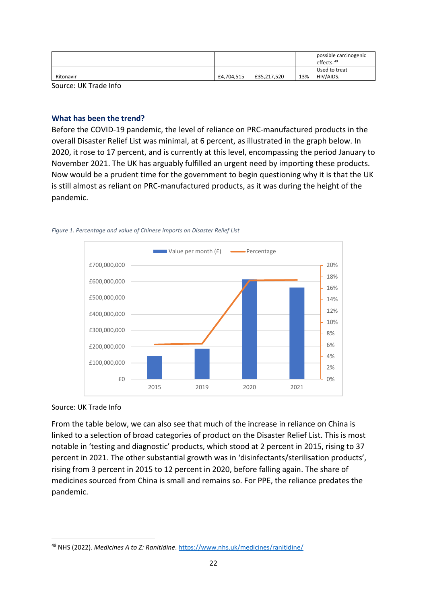|           |            |             |     | possible carcinogenic<br>effects. <sup>49</sup> |
|-----------|------------|-------------|-----|-------------------------------------------------|
| Ritonavir | £4,704,515 | £35,217,520 | 13% | Used to treat<br>HIV/AIDS.                      |

Source: UK Trade Info

#### <span id="page-22-0"></span>**What has been the trend?**

Before the COVID-19 pandemic, the level of reliance on PRC-manufactured products in the overall Disaster Relief List was minimal, at 6 percent, as illustrated in the graph below. In 2020, it rose to 17 percent, and is currently at this level, encompassing the period January to November 2021. The UK has arguably fulfilled an urgent need by importing these products. Now would be a prudent time for the government to begin questioning why it is that the UK is still almost as reliant on PRC-manufactured products, as it was during the height of the pandemic.



*Figure 1. Percentage and value of Chinese imports on Disaster Relief List*

#### Source: UK Trade Info

From the table below, we can also see that much of the increase in reliance on China is linked to a selection of broad categories of product on the Disaster Relief List. This is most notable in 'testing and diagnostic' products, which stood at 2 percent in 2015, rising to 37 percent in 2021. The other substantial growth was in 'disinfectants/sterilisation products', rising from 3 percent in 2015 to 12 percent in 2020, before falling again. The share of medicines sourced from China is small and remains so. For PPE, the reliance predates the pandemic.

<span id="page-22-1"></span><sup>49</sup> NHS (2022). *Medicines A to Z: Ranitidine*.<https://www.nhs.uk/medicines/ranitidine/>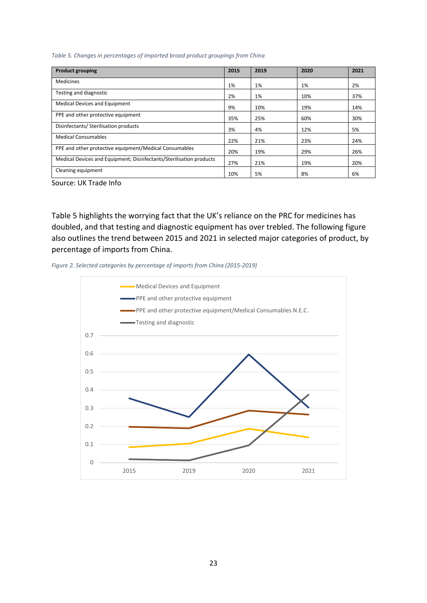*Table 5. Changes in percentages of imported broad product groupings from China* 

| <b>Product grouping</b>                                             | 2015 | 2019 | 2020 | 2021 |
|---------------------------------------------------------------------|------|------|------|------|
| <b>Medicines</b>                                                    | 1%   | 1%   | 1%   | 2%   |
| Testing and diagnostic                                              | 2%   | 1%   | 10%  | 37%  |
| <b>Medical Devices and Equipment</b>                                | 9%   | 10%  | 19%  | 14%  |
| PPE and other protective equipment                                  | 35%  | 25%  | 60%  | 30%  |
| Disinfectants/ Sterilisation products                               | 3%   | 4%   | 12%  | 5%   |
| <b>Medical Consumables</b>                                          | 22%  | 21%  | 23%  | 24%  |
| PPE and other protective equipment/Medical Consumables              | 20%  | 19%  | 29%  | 26%  |
| Medical Devices and Equipment; Disinfectants/Sterilisation products | 27%  | 21%  | 19%  | 20%  |
| Cleaning equipment                                                  | 10%  | 5%   | 8%   | 6%   |

Source: UK Trade Info

Table 5 highlights the worrying fact that the UK's reliance on the PRC for medicines has doubled, and that testing and diagnostic equipment has over trebled. The following figure also outlines the trend between 2015 and 2021 in selected major categories of product, by percentage of imports from China.



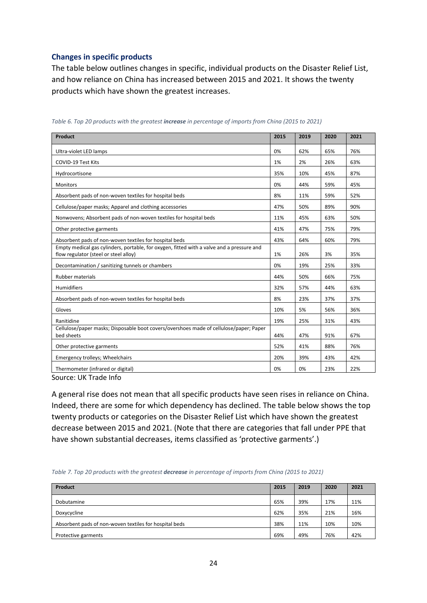#### <span id="page-24-0"></span>**Changes in specific products**

The table below outlines changes in specific, individual products on the Disaster Relief List, and how reliance on China has increased between 2015 and 2021. It shows the twenty products which have shown the greatest increases.

| Product                                                                                                                            | 2015 | 2019 | 2020 | 2021 |
|------------------------------------------------------------------------------------------------------------------------------------|------|------|------|------|
| Ultra-violet LED lamps                                                                                                             | 0%   | 62%  | 65%  | 76%  |
| <b>COVID-19 Test Kits</b>                                                                                                          | 1%   | 2%   | 26%  | 63%  |
| Hydrocortisone                                                                                                                     | 35%  | 10%  | 45%  | 87%  |
| <b>Monitors</b>                                                                                                                    | 0%   | 44%  | 59%  | 45%  |
| Absorbent pads of non-woven textiles for hospital beds                                                                             | 8%   | 11%  | 59%  | 52%  |
| Cellulose/paper masks; Apparel and clothing accessories                                                                            | 47%  | 50%  | 89%  | 90%  |
| Nonwovens; Absorbent pads of non-woven textiles for hospital beds                                                                  | 11%  | 45%  | 63%  | 50%  |
| Other protective garments                                                                                                          | 41%  | 47%  | 75%  | 79%  |
| Absorbent pads of non-woven textiles for hospital beds                                                                             | 43%  | 64%  | 60%  | 79%  |
| Empty medical gas cylinders, portable, for oxygen, fitted with a valve and a pressure and<br>flow regulator (steel or steel alloy) | 1%   | 26%  | 3%   | 35%  |
| Decontamination / sanitizing tunnels or chambers                                                                                   | 0%   | 19%  | 25%  | 33%  |
| <b>Rubber materials</b>                                                                                                            | 44%  | 50%  | 66%  | 75%  |
| Humidifiers                                                                                                                        | 32%  | 57%  | 44%  | 63%  |
| Absorbent pads of non-woven textiles for hospital beds                                                                             | 8%   | 23%  | 37%  | 37%  |
| Gloves                                                                                                                             | 10%  | 5%   | 56%  | 36%  |
| Ranitidine                                                                                                                         | 19%  | 25%  | 31%  | 43%  |
| Cellulose/paper masks; Disposable boot covers/overshoes made of cellulose/paper; Paper<br>bed sheets                               | 44%  | 47%  | 91%  | 67%  |
| Other protective garments                                                                                                          | 52%  | 41%  | 88%  | 76%  |
| Emergency trolleys; Wheelchairs                                                                                                    | 20%  | 39%  | 43%  | 42%  |
| Thermometer (infrared or digital)                                                                                                  | 0%   | 0%   | 23%  | 22%  |

*Table 6. Top 20 products with the greatest increase in percentage of imports from China (2015 to 2021)* 

Source: UK Trade Info

A general rise does not mean that all specific products have seen rises in reliance on China. Indeed, there are some for which dependency has declined. The table below shows the top twenty products or categories on the Disaster Relief List which have shown the greatest decrease between 2015 and 2021. (Note that there are categories that fall under PPE that have shown substantial decreases, items classified as 'protective garments'.)

| Table 7. Top 20 products with the greatest decrease in percentage of imports from China (2015 to 2021) |  |  |
|--------------------------------------------------------------------------------------------------------|--|--|

| Product                                                | 2015 | 2019 | 2020 | 2021 |
|--------------------------------------------------------|------|------|------|------|
| Dobutamine                                             | 65%  | 39%  | 17%  | 11%  |
| Doxycycline                                            | 62%  | 35%  | 21%  | 16%  |
| Absorbent pads of non-woven textiles for hospital beds | 38%  | 11%  | 10%  | 10%  |
| Protective garments                                    | 69%  | 49%  | 76%  | 42%  |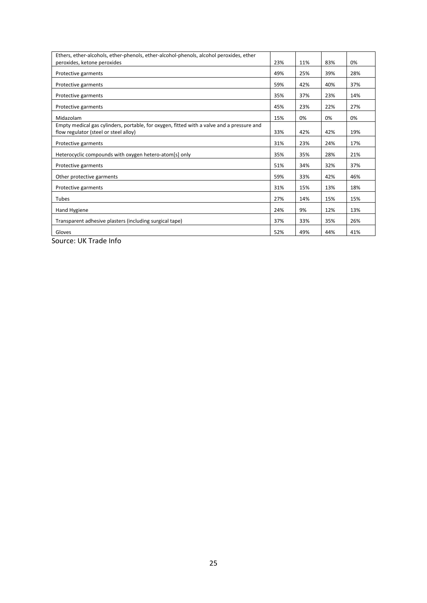| Ethers, ether-alcohols, ether-phenols, ether-alcohol-phenols, alcohol peroxides, ether    |     |     |     |     |
|-------------------------------------------------------------------------------------------|-----|-----|-----|-----|
| peroxides, ketone peroxides                                                               | 23% | 11% | 83% | 0%  |
| Protective garments                                                                       | 49% | 25% | 39% | 28% |
| Protective garments                                                                       | 59% | 42% | 40% | 37% |
| Protective garments                                                                       | 35% | 37% | 23% | 14% |
| Protective garments                                                                       | 45% | 23% | 22% | 27% |
| Midazolam                                                                                 | 15% | 0%  | 0%  | 0%  |
| Empty medical gas cylinders, portable, for oxygen, fitted with a valve and a pressure and |     |     |     |     |
| flow regulator (steel or steel alloy)                                                     | 33% | 42% | 42% | 19% |
| Protective garments                                                                       | 31% | 23% | 24% | 17% |
| Heterocyclic compounds with oxygen hetero-atom[s] only                                    | 35% | 35% | 28% | 21% |
| Protective garments                                                                       | 51% | 34% | 32% | 37% |
| Other protective garments                                                                 | 59% | 33% | 42% | 46% |
| Protective garments                                                                       | 31% | 15% | 13% | 18% |
| Tubes                                                                                     | 27% | 14% | 15% | 15% |
| Hand Hygiene                                                                              | 24% | 9%  | 12% | 13% |
| Transparent adhesive plasters (including surgical tape)                                   | 37% | 33% | 35% | 26% |
| Gloves                                                                                    | 52% | 49% | 44% | 41% |

Source: UK Trade Info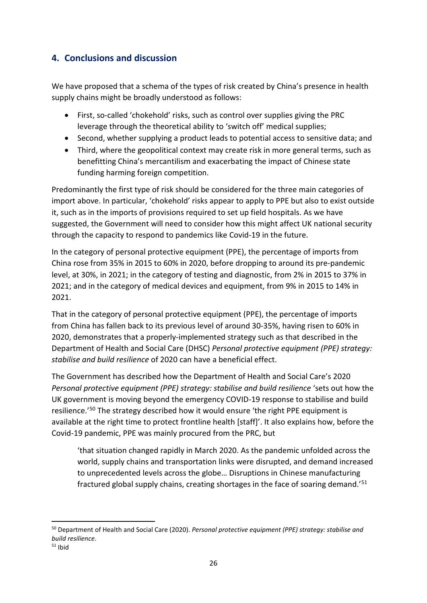## <span id="page-26-0"></span>**4. Conclusions and discussion**

We have proposed that a schema of the types of risk created by China's presence in health supply chains might be broadly understood as follows:

- First, so-called 'chokehold' risks, such as control over supplies giving the PRC leverage through the theoretical ability to 'switch off' medical supplies;
- Second, whether supplying a product leads to potential access to sensitive data; and
- Third, where the geopolitical context may create risk in more general terms, such as benefitting China's mercantilism and exacerbating the impact of Chinese state funding harming foreign competition.

Predominantly the first type of risk should be considered for the three main categories of import above. In particular, 'chokehold' risks appear to apply to PPE but also to exist outside it, such as in the imports of provisions required to set up field hospitals. As we have suggested, the Government will need to consider how this might affect UK national security through the capacity to respond to pandemics like Covid-19 in the future.

In the category of personal protective equipment (PPE), the percentage of imports from China rose from 35% in 2015 to 60% in 2020, before dropping to around its pre-pandemic level, at 30%, in 2021; in the category of testing and diagnostic, from 2% in 2015 to 37% in 2021; and in the category of medical devices and equipment, from 9% in 2015 to 14% in 2021.

That in the category of personal protective equipment (PPE), the percentage of imports from China has fallen back to its previous level of around 30-35%, having risen to 60% in 2020, demonstrates that a properly-implemented strategy such as that described in the Department of Health and Social Care (DHSC) *Personal protective equipment (PPE) strategy: stabilise and build resilience* of 2020 can have a beneficial effect.

The Government has described how the Department of Health and Social Care's 2020 *Personal protective equipment (PPE) strategy: stabilise and build resilience* 'sets out how the UK government is moving beyond the emergency COVID-19 response to stabilise and build resilience.<sup>'[50](#page-26-1)</sup> The strategy described how it would ensure 'the right PPE equipment is available at the right time to protect frontline health [staff]'. It also explains how, before the Covid-19 pandemic, PPE was mainly procured from the PRC, but

'that situation changed rapidly in March 2020. As the pandemic unfolded across the world, supply chains and transportation links were disrupted, and demand increased to unprecedented levels across the globe… Disruptions in Chinese manufacturing fractured global supply chains, creating shortages in the face of soaring demand.' [51](#page-26-2)

<span id="page-26-1"></span><sup>50</sup> Department of Health and Social Care (2020). *Personal protective equipment (PPE) strategy: stabilise and build resilience*.

<span id="page-26-2"></span> $51$  Ibid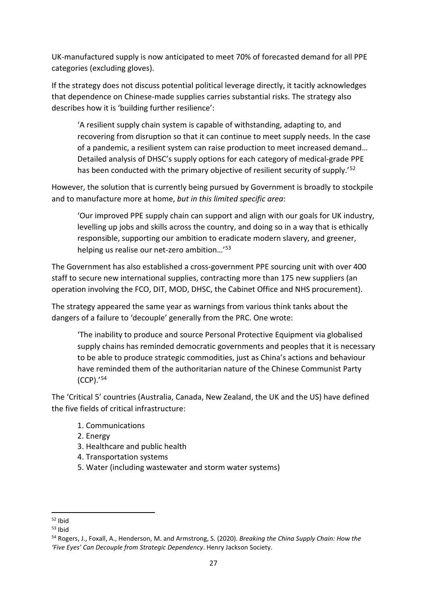UK-manufactured supply is now anticipated to meet 70% of forecasted demand for all PPE categories (excluding gloves).

If the strategy does not discuss potential political leverage directly, it tacitly acknowledges that dependence on Chinese-made supplies carries substantial risks. The strategy also describes how it is 'building further resilience':

'A resilient supply chain system is capable of withstanding, adapting to, and recovering from disruption so that it can continue to meet supply needs. In the case of a pandemic, a resilient system can raise production to meet increased demand… Detailed analysis of DHSC's supply options for each category of medical-grade PPE has been conducted with the primary objective of resilient security of supply.'<sup>[52](#page-27-0)</sup>

However, the solution that is currently being pursued by Government is broadly to stockpile and to manufacture more at home, *but in this limited specific area*:

'Our improved PPE supply chain can support and align with our goals for UK industry, levelling up jobs and skills across the country, and doing so in a way that is ethically responsible, supporting our ambition to eradicate modern slavery, and greener, helping us realise our net-zero ambition…' [53](#page-27-1)

The Government has also established a cross-government PPE sourcing unit with over 400 staff to secure new international supplies, contracting more than 175 new suppliers (an operation involving the FCO, DIT, MOD, DHSC, the Cabinet Office and NHS procurement).

The strategy appeared the same year as warnings from various think tanks about the dangers of a failure to 'decouple' generally from the PRC. One wrote:

'The inability to produce and source Personal Protective Equipment via globalised supply chains has reminded democratic governments and peoples that it is necessary to be able to produce strategic commodities, just as China's actions and behaviour have reminded them of the authoritarian nature of the Chinese Communist Party (CCP).' [54](#page-27-2)

The 'Critical 5' countries (Australia, Canada, New Zealand, the UK and the US) have defined the five fields of critical infrastructure:

- 1. Communications
- 2. Energy
- 3. Healthcare and public health
- 4. Transportation systems
- 5. Water (including wastewater and storm water systems)

<span id="page-27-0"></span><sup>52</sup> Ibid

<span id="page-27-1"></span> $53$  Ibid

<span id="page-27-2"></span><sup>54</sup> Rogers, J., Foxall, A., Henderson, M. and Armstrong, S. (2020). *Breaking the China Supply Chain: How the 'Five Eyes' Can Decouple from Strategic Dependency*. Henry Jackson Society.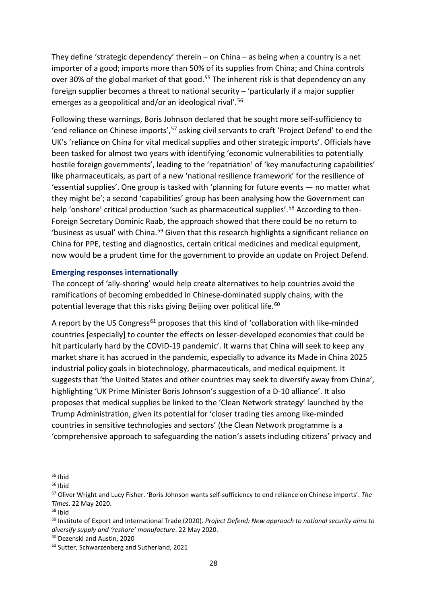They define 'strategic dependency' therein – on China – as being when a country is a net importer of a good; imports more than 50% of its supplies from China; and China controls over 30% of the global market of that good.<sup>55</sup> The inherent risk is that dependency on any foreign supplier becomes a threat to national security – 'particularly if a major supplier emerges as a geopolitical and/or an ideological rival'. [56](#page-28-2)

Following these warnings, Boris Johnson declared that he sought more self-sufficiency to 'end reliance on Chinese imports', [57](#page-28-3) asking civil servants to craft 'Project Defend' to end the UK's 'reliance on China for vital medical supplies and other strategic imports'. Officials have been tasked for almost two years with identifying 'economic vulnerabilities to potentially hostile foreign governments', leading to the 'repatriation' of 'key manufacturing capabilities' like pharmaceuticals, as part of a new 'national resilience framework' for the resilience of 'essential supplies'. One group is tasked with 'planning for future events — no matter what they might be'; a second 'capabilities' group has been analysing how the Government can help 'onshore' critical production 'such as pharmaceutical supplies'.<sup>[58](#page-28-4)</sup> According to then-Foreign Secretary Dominic Raab, the approach showed that there could be no return to 'business as usual' with China.[59](#page-28-5) Given that this research highlights a significant reliance on China for PPE, testing and diagnostics, certain critical medicines and medical equipment, now would be a prudent time for the government to provide an update on Project Defend.

#### <span id="page-28-0"></span>**Emerging responses internationally**

The concept of 'ally-shoring' would help create alternatives to help countries avoid the ramifications of becoming embedded in Chinese-dominated supply chains, with the potential leverage that this risks giving Beijing over political life.<sup>[60](#page-28-6)</sup>

A report by the US Congress<sup>[61](#page-28-7)</sup> proposes that this kind of 'collaboration with like-minded countries [especially] to counter the effects on lesser-developed economies that could be hit particularly hard by the COVID-19 pandemic'. It warns that China will seek to keep any market share it has accrued in the pandemic, especially to advance its Made in China 2025 industrial policy goals in biotechnology, pharmaceuticals, and medical equipment. It suggests that 'the United States and other countries may seek to diversify away from China', highlighting 'UK Prime Minister Boris Johnson's suggestion of a D-10 alliance'. It also proposes that medical supplies be linked to the 'Clean Network strategy' launched by the Trump Administration, given its potential for 'closer trading ties among like-minded countries in sensitive technologies and sectors' (the Clean Network programme is a 'comprehensive approach to safeguarding the nation's assets including citizens' privacy and

<span id="page-28-4"></span><sup>58</sup> Ibid

<span id="page-28-3"></span>

<span id="page-28-2"></span><span id="page-28-1"></span><sup>&</sup>lt;sup>55</sup> Ibid<br><sup>56</sup> Ibid<br><sup>57</sup> Oliver Wright and Lucy Fisher. 'Boris Johnson wants self-sufficiency to end reliance on Chinese imports'. *The Times*. 22 May 2020.

<span id="page-28-5"></span><sup>59</sup> Institute of Export and International Trade (2020). *Project Defend: New approach to national security aims to diversify supply and 'reshore' manufacture*. 22 May 2020.

<span id="page-28-7"></span><span id="page-28-6"></span> $60$  Dezenski and Austin, 2020<br> $61$  Sutter, Schwarzenberg and Sutherland, 2021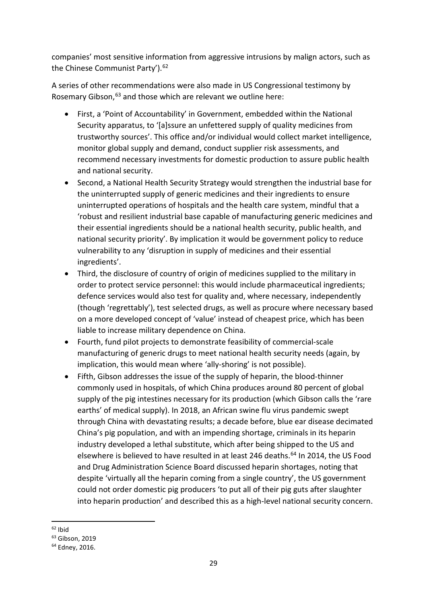companies' most sensitive information from aggressive intrusions by malign actors, such as the Chinese Communist Party'). [62](#page-29-0)

A series of other recommendations were also made in US Congressional testimony by Rosemary Gibson, <sup>[63](#page-29-1)</sup> and those which are relevant we outline here:

- First, a 'Point of Accountability' in Government, embedded within the National Security apparatus, to '[a]ssure an unfettered supply of quality medicines from trustworthy sources'. This office and/or individual would collect market intelligence, monitor global supply and demand, conduct supplier risk assessments, and recommend necessary investments for domestic production to assure public health and national security.
- Second, a National Health Security Strategy would strengthen the industrial base for the uninterrupted supply of generic medicines and their ingredients to ensure uninterrupted operations of hospitals and the health care system, mindful that a 'robust and resilient industrial base capable of manufacturing generic medicines and their essential ingredients should be a national health security, public health, and national security priority'. By implication it would be government policy to reduce vulnerability to any 'disruption in supply of medicines and their essential ingredients'.
- Third, the disclosure of country of origin of medicines supplied to the military in order to protect service personnel: this would include pharmaceutical ingredients; defence services would also test for quality and, where necessary, independently (though 'regrettably'), test selected drugs, as well as procure where necessary based on a more developed concept of 'value' instead of cheapest price, which has been liable to increase military dependence on China.
- Fourth, fund pilot projects to demonstrate feasibility of commercial-scale manufacturing of generic drugs to meet national health security needs (again, by implication, this would mean where 'ally-shoring' is not possible).
- Fifth, Gibson addresses the issue of the supply of heparin, the blood-thinner commonly used in hospitals, of which China produces around 80 percent of global supply of the pig intestines necessary for its production (which Gibson calls the 'rare earths' of medical supply). In 2018, an African swine flu virus pandemic swept through China with devastating results; a decade before, blue ear disease decimated China's pig population, and with an impending shortage, criminals in its heparin industry developed a lethal substitute, which after being shipped to the US and elsewhere is believed to have resulted in at least 246 deaths.<sup>[64](#page-29-2)</sup> In 2014, the US Food and Drug Administration Science Board discussed heparin shortages, noting that despite 'virtually all the heparin coming from a single country', the US government could not order domestic pig producers 'to put all of their pig guts after slaughter into heparin production' and described this as a high-level national security concern.

<span id="page-29-0"></span> $62$  Ibid<br> $63$  Gibson, 2019

<span id="page-29-2"></span><span id="page-29-1"></span><sup>64</sup> Edney, 2016.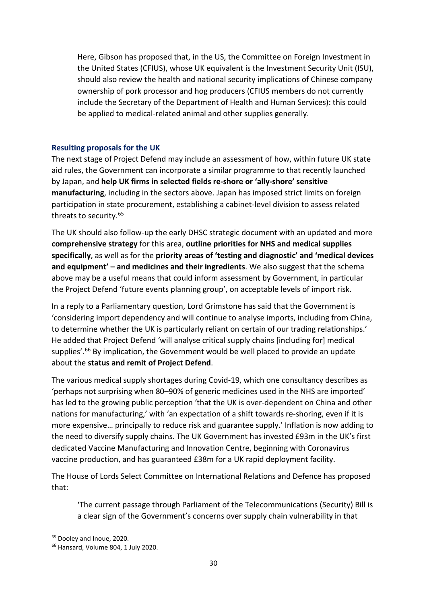Here, Gibson has proposed that, in the US, the Committee on Foreign Investment in the United States (CFIUS), whose UK equivalent is the Investment Security Unit (ISU), should also review the health and national security implications of Chinese company ownership of pork processor and hog producers (CFIUS members do not currently include the Secretary of the Department of Health and Human Services): this could be applied to medical-related animal and other supplies generally.

#### <span id="page-30-0"></span>**Resulting proposals for the UK**

The next stage of Project Defend may include an assessment of how, within future UK state aid rules, the Government can incorporate a similar programme to that recently launched by Japan, and **help UK firms in selected fields re-shore or 'ally-shore' sensitive manufacturing**, including in the sectors above. Japan has imposed strict limits on foreign participation in state procurement, establishing a cabinet-level division to assess related threats to security.[65](#page-30-1)

The UK should also follow-up the early DHSC strategic document with an updated and more **comprehensive strategy** for this area, **outline priorities for NHS and medical supplies specifically**, as well as for the **priority areas of 'testing and diagnostic' and 'medical devices and equipment' – and medicines and their ingredients**. We also suggest that the schema above may be a useful means that could inform assessment by Government, in particular the Project Defend 'future events planning group', on acceptable levels of import risk.

In a reply to a Parliamentary question, Lord Grimstone has said that the Government is 'considering import dependency and will continue to analyse imports, including from China, to determine whether the UK is particularly reliant on certain of our trading relationships.' He added that Project Defend 'will analyse critical supply chains [including for] medical supplies'.<sup>[66](#page-30-2)</sup> By implication, the Government would be well placed to provide an update about the **status and remit of Project Defend**.

The various medical supply shortages during Covid-19, which one consultancy describes as 'perhaps not surprising when 80–90% of generic medicines used in the NHS are imported' has led to the growing public perception 'that the UK is over-dependent on China and other nations for manufacturing,' with 'an expectation of a shift towards re-shoring, even if it is more expensive… principally to reduce risk and guarantee supply.' Inflation is now adding to the need to diversify supply chains. The UK Government has invested £93m in the UK's first dedicated Vaccine Manufacturing and Innovation Centre, beginning with Coronavirus vaccine production, and has guaranteed £38m for a UK rapid deployment facility.

The House of Lords Select Committee on International Relations and Defence has proposed that:

'The current passage through Parliament of the Telecommunications (Security) Bill is a clear sign of the Government's concerns over supply chain vulnerability in that

<span id="page-30-1"></span><sup>&</sup>lt;sup>65</sup> Dooley and Inoue, 2020.

<span id="page-30-2"></span><sup>66</sup> Hansard, Volume 804, 1 July 2020.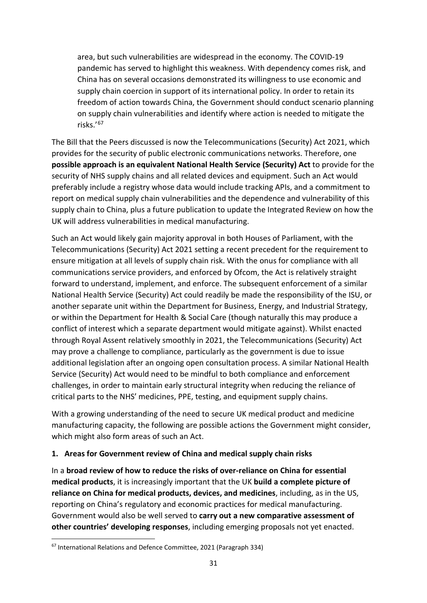area, but such vulnerabilities are widespread in the economy. The COVID-19 pandemic has served to highlight this weakness. With dependency comes risk, and China has on several occasions demonstrated its willingness to use economic and supply chain coercion in support of its international policy. In order to retain its freedom of action towards China, the Government should conduct scenario planning on supply chain vulnerabilities and identify where action is needed to mitigate the risks.' [67](#page-31-0)

The Bill that the Peers discussed is now the Telecommunications (Security) Act 2021, which provides for the security of public electronic communications networks. Therefore, one **possible approach is an equivalent National Health Service (Security) Act** to provide for the security of NHS supply chains and all related devices and equipment. Such an Act would preferably include a registry whose data would include tracking APIs, and a commitment to report on medical supply chain vulnerabilities and the dependence and vulnerability of this supply chain to China, plus a future publication to update the Integrated Review on how the UK will address vulnerabilities in medical manufacturing.

Such an Act would likely gain majority approval in both Houses of Parliament, with the Telecommunications (Security) Act 2021 setting a recent precedent for the requirement to ensure mitigation at all levels of supply chain risk. With the onus for compliance with all communications service providers, and enforced by Ofcom, the Act is relatively straight forward to understand, implement, and enforce. The subsequent enforcement of a similar National Health Service (Security) Act could readily be made the responsibility of the ISU, or another separate unit within the Department for Business, Energy, and Industrial Strategy, or within the Department for Health & Social Care (though naturally this may produce a conflict of interest which a separate department would mitigate against). Whilst enacted through Royal Assent relatively smoothly in 2021, the Telecommunications (Security) Act may prove a challenge to compliance, particularly as the government is due to issue additional legislation after an ongoing open consultation process. A similar National Health Service (Security) Act would need to be mindful to both compliance and enforcement challenges, in order to maintain early structural integrity when reducing the reliance of critical parts to the NHS' medicines, PPE, testing, and equipment supply chains.

With a growing understanding of the need to secure UK medical product and medicine manufacturing capacity, the following are possible actions the Government might consider, which might also form areas of such an Act.

#### **1. Areas for Government review of China and medical supply chain risks**

In a **broad review of how to reduce the risks of over-reliance on China for essential medical products**, it is increasingly important that the UK **build a complete picture of reliance on China for medical products, devices, and medicines**, including, as in the US, reporting on China's regulatory and economic practices for medical manufacturing. Government would also be well served to **carry out a new comparative assessment of other countries' developing responses**, including emerging proposals not yet enacted.

<span id="page-31-0"></span><sup>67</sup> International Relations and Defence Committee, 2021 (Paragraph 334)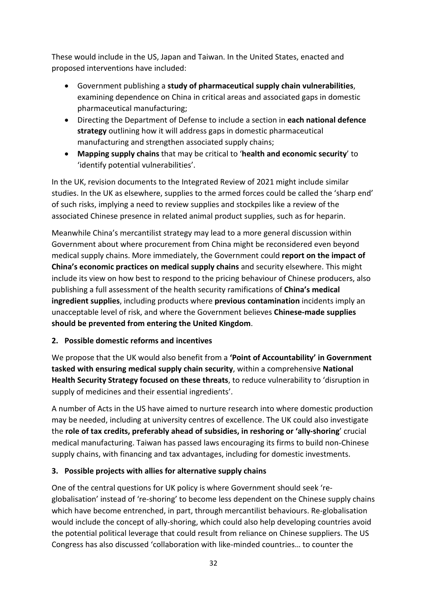These would include in the US, Japan and Taiwan. In the United States, enacted and proposed interventions have included:

- Government publishing a **study of pharmaceutical supply chain vulnerabilities**, examining dependence on China in critical areas and associated gaps in domestic pharmaceutical manufacturing;
- Directing the Department of Defense to include a section in **each national defence strategy** outlining how it will address gaps in domestic pharmaceutical manufacturing and strengthen associated supply chains;
- **Mapping supply chains** that may be critical to '**health and economic security**' to 'identify potential vulnerabilities'.

In the UK, revision documents to the Integrated Review of 2021 might include similar studies. In the UK as elsewhere, supplies to the armed forces could be called the 'sharp end' of such risks, implying a need to review supplies and stockpiles like a review of the associated Chinese presence in related animal product supplies, such as for heparin.

Meanwhile China's mercantilist strategy may lead to a more general discussion within Government about where procurement from China might be reconsidered even beyond medical supply chains. More immediately, the Government could **report on the impact of China's economic practices on medical supply chains** and security elsewhere. This might include its view on how best to respond to the pricing behaviour of Chinese producers, also publishing a full assessment of the health security ramifications of **China's medical ingredient supplies**, including products where **previous contamination** incidents imply an unacceptable level of risk, and where the Government believes **Chinese-made supplies should be prevented from entering the United Kingdom**.

## **2. Possible domestic reforms and incentives**

We propose that the UK would also benefit from a **'Point of Accountability' in Government tasked with ensuring medical supply chain security**, within a comprehensive **National Health Security Strategy focused on these threats**, to reduce vulnerability to 'disruption in supply of medicines and their essential ingredients'.

A number of Acts in the US have aimed to nurture research into where domestic production may be needed, including at university centres of excellence. The UK could also investigate the **role of tax credits, preferably ahead of subsidies, in reshoring or 'ally-shoring**' crucial medical manufacturing. Taiwan has passed laws encouraging its firms to build non-Chinese supply chains, with financing and tax advantages, including for domestic investments.

## **3. Possible projects with allies for alternative supply chains**

One of the central questions for UK policy is where Government should seek 'reglobalisation' instead of 're-shoring' to become less dependent on the Chinese supply chains which have become entrenched, in part, through mercantilist behaviours. Re-globalisation would include the concept of ally-shoring, which could also help developing countries avoid the potential political leverage that could result from reliance on Chinese suppliers. The US Congress has also discussed 'collaboration with like-minded countries… to counter the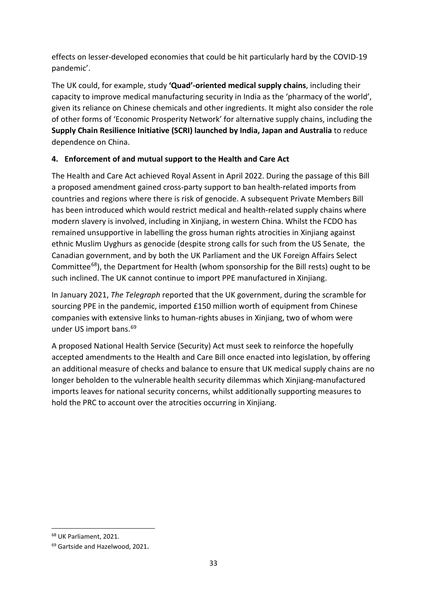effects on lesser-developed economies that could be hit particularly hard by the COVID-19 pandemic'.

The UK could, for example, study **'Quad'-oriented medical supply chains**, including their capacity to improve medical manufacturing security in India as the 'pharmacy of the world', given its reliance on Chinese chemicals and other ingredients. It might also consider the role of other forms of 'Economic Prosperity Network' for alternative supply chains, including the **Supply Chain Resilience Initiative (SCRI) launched by India, Japan and Australia** to reduce dependence on China.

## **4. Enforcement of and mutual support to the Health and Care Act**

The Health and Care Act achieved Royal Assent in April 2022. During the passage of this Bill a proposed amendment gained cross-party support to ban health-related imports from countries and regions where there is risk of genocide. A subsequent Private Members Bill has been introduced which would restrict medical and health-related supply chains where modern slavery is involved, including in Xinjiang, in western China. Whilst the FCDO has remained unsupportive in labelling the gross human rights atrocities in Xinjiang against ethnic Muslim Uyghurs as genocide (despite strong calls for such from the US Senate, the Canadian government, and by both the UK Parliament and the UK Foreign Affairs Select Committee[68](#page-33-0)), the Department for Health (whom sponsorship for the Bill rests) ought to be such inclined. The UK cannot continue to import PPE manufactured in Xinjiang.

In January 2021, *The Telegraph* reported that the UK government, during the scramble for sourcing PPE in the pandemic, imported £150 million worth of equipment from Chinese companies with extensive links to human-rights abuses in Xinjiang, two of whom were under US import bans.<sup>[69](#page-33-1)</sup>

A proposed National Health Service (Security) Act must seek to reinforce the hopefully accepted amendments to the Health and Care Bill once enacted into legislation, by offering an additional measure of checks and balance to ensure that UK medical supply chains are no longer beholden to the vulnerable health security dilemmas which Xinjiang-manufactured imports leaves for national security concerns, whilst additionally supporting measures to hold the PRC to account over the atrocities occurring in Xinjiang.

<span id="page-33-0"></span><sup>68</sup> UK Parliament, 2021.

<span id="page-33-1"></span><sup>&</sup>lt;sup>69</sup> Gartside and Hazelwood, 2021.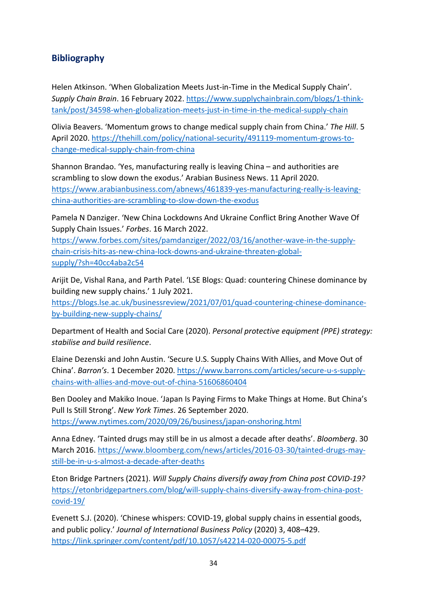## <span id="page-34-0"></span>**Bibliography**

Helen Atkinson. 'When Globalization Meets Just-in-Time in the Medical Supply Chain'. *Supply Chain Brain*. 16 February 2022. [https://www.supplychainbrain.com/blogs/1-think](https://www.supplychainbrain.com/blogs/1-think-tank/post/34598-when-globalization-meets-just-in-time-in-the-medical-supply-chain)[tank/post/34598-when-globalization-meets-just-in-time-in-the-medical-supply-chain](https://www.supplychainbrain.com/blogs/1-think-tank/post/34598-when-globalization-meets-just-in-time-in-the-medical-supply-chain)

Olivia Beavers. 'Momentum grows to change medical supply chain from China.' *The Hill*. 5 April 2020[. https://thehill.com/policy/national-security/491119-momentum-grows-to](https://thehill.com/policy/national-security/491119-momentum-grows-to-change-medical-supply-chain-from-china)[change-medical-supply-chain-from-china](https://thehill.com/policy/national-security/491119-momentum-grows-to-change-medical-supply-chain-from-china) 

Shannon Brandao. 'Yes, manufacturing really is leaving China – and authorities are scrambling to slow down the exodus.' Arabian Business News. 11 April 2020. [https://www.arabianbusiness.com/abnews/461839-yes-manufacturing-really-is-leaving](https://www.arabianbusiness.com/abnews/461839-yes-manufacturing-really-is-leaving-china-authorities-are-scrambling-to-slow-down-the-exodus)[china-authorities-are-scrambling-to-slow-down-the-exodus](https://www.arabianbusiness.com/abnews/461839-yes-manufacturing-really-is-leaving-china-authorities-are-scrambling-to-slow-down-the-exodus)

Pamela N Danziger. 'New China Lockdowns And Ukraine Conflict Bring Another Wave Of Supply Chain Issues.' *Forbes*. 16 March 2022.

[https://www.forbes.com/sites/pamdanziger/2022/03/16/another-wave-in-the-supply](https://www.forbes.com/sites/pamdanziger/2022/03/16/another-wave-in-the-supply-chain-crisis-hits-as-new-china-lock-downs-and-ukraine-threaten-global-supply/?sh=40cc4aba2c54)[chain-crisis-hits-as-new-china-lock-downs-and-ukraine-threaten-global](https://www.forbes.com/sites/pamdanziger/2022/03/16/another-wave-in-the-supply-chain-crisis-hits-as-new-china-lock-downs-and-ukraine-threaten-global-supply/?sh=40cc4aba2c54)[supply/?sh=40cc4aba2c54](https://www.forbes.com/sites/pamdanziger/2022/03/16/another-wave-in-the-supply-chain-crisis-hits-as-new-china-lock-downs-and-ukraine-threaten-global-supply/?sh=40cc4aba2c54)

Arijit De, Vishal Rana, and Parth Patel. 'LSE Blogs: Quad: countering Chinese dominance by building new supply chains.' 1 July 2021.

[https://blogs.lse.ac.uk/businessreview/2021/07/01/quad-countering-chinese-dominance](https://blogs.lse.ac.uk/businessreview/2021/07/01/quad-countering-chinese-dominance-by-building-new-supply-chains/)[by-building-new-supply-chains/](https://blogs.lse.ac.uk/businessreview/2021/07/01/quad-countering-chinese-dominance-by-building-new-supply-chains/)

Department of Health and Social Care (2020). *Personal protective equipment (PPE) strategy: stabilise and build resilience*.

Elaine Dezenski and John Austin. 'Secure U.S. Supply Chains With Allies, and Move Out of China'. *Barron's*. 1 December 2020. [https://www.barrons.com/articles/secure-u-s-supply](https://www.barrons.com/articles/secure-u-s-supply-chains-with-allies-and-move-out-of-china-51606860404)[chains-with-allies-and-move-out-of-china-51606860404](https://www.barrons.com/articles/secure-u-s-supply-chains-with-allies-and-move-out-of-china-51606860404)

Ben Dooley and Makiko Inoue. 'Japan Is Paying Firms to Make Things at Home. But China's Pull Is Still Strong'. *New York Times*. 26 September 2020. <https://www.nytimes.com/2020/09/26/business/japan-onshoring.html>

Anna Edney. 'Tainted drugs may still be in us almost a decade after deaths'. *Bloomberg*. 30 March 2016. [https://www.bloomberg.com/news/articles/2016-03-30/tainted-drugs-may](https://www.bloomberg.com/news/articles/2016-03-30/tainted-drugs-may-still-be-in-u-s-almost-a-decade-after-deaths)[still-be-in-u-s-almost-a-decade-after-deaths](https://www.bloomberg.com/news/articles/2016-03-30/tainted-drugs-may-still-be-in-u-s-almost-a-decade-after-deaths) 

Eton Bridge Partners (2021). *Will Supply Chains diversify away from China post COVID-19?* [https://etonbridgepartners.com/blog/will-supply-chains-diversify-away-from-china-post](https://etonbridgepartners.com/blog/will-supply-chains-diversify-away-from-china-post-covid-19/)[covid-19/](https://etonbridgepartners.com/blog/will-supply-chains-diversify-away-from-china-post-covid-19/) 

Evenett S.J. (2020). 'Chinese whispers: COVID-19, global supply chains in essential goods, and public policy.' *Journal of International Business Policy* (2020) 3, 408–429. <https://link.springer.com/content/pdf/10.1057/s42214-020-00075-5.pdf>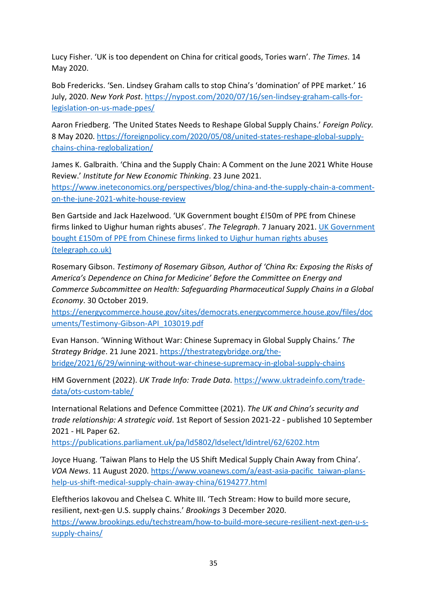Lucy Fisher. 'UK is too dependent on China for critical goods, Tories warn'. *The Times*. 14 May 2020.

Bob Fredericks. 'Sen. Lindsey Graham calls to stop China's 'domination' of PPE market.' 16 July, 2020. *New York Post*. [https://nypost.com/2020/07/16/sen-lindsey-graham-calls-for](https://nypost.com/2020/07/16/sen-lindsey-graham-calls-for-legislation-on-us-made-ppes/)[legislation-on-us-made-ppes/](https://nypost.com/2020/07/16/sen-lindsey-graham-calls-for-legislation-on-us-made-ppes/)

Aaron Friedberg. 'The United States Needs to Reshape Global Supply Chains.' *Foreign Policy.* 8 May 2020. [https://foreignpolicy.com/2020/05/08/united-states-reshape-global-supply](https://foreignpolicy.com/2020/05/08/united-states-reshape-global-supply-chains-china-reglobalization/)[chains-china-reglobalization/](https://foreignpolicy.com/2020/05/08/united-states-reshape-global-supply-chains-china-reglobalization/)

James K. Galbraith. 'China and the Supply Chain: A Comment on the June 2021 White House Review.' *Institute for New Economic Thinking*. 23 June 2021. [https://www.ineteconomics.org/perspectives/blog/china-and-the-supply-chain-a-comment](https://www.ineteconomics.org/perspectives/blog/china-and-the-supply-chain-a-comment-on-the-june-2021-white-house-review)[on-the-june-2021-white-house-review](https://www.ineteconomics.org/perspectives/blog/china-and-the-supply-chain-a-comment-on-the-june-2021-white-house-review) 

Ben Gartside and Jack Hazelwood. 'UK Government bought £!50m of PPE from Chinese firms linked to Uighur human rights abuses'. *The Telegraph*. 7 January 2021. [UK Government](https://www.telegraph.co.uk/business/2021/01/07/uk-government-bought-150m-ppe-chinese-firms-linked-uighur-human/)  [bought £150m of PPE from Chinese firms linked to Uighur human rights abuses](https://www.telegraph.co.uk/business/2021/01/07/uk-government-bought-150m-ppe-chinese-firms-linked-uighur-human/)  [\(telegraph.co.uk\)](https://www.telegraph.co.uk/business/2021/01/07/uk-government-bought-150m-ppe-chinese-firms-linked-uighur-human/)

Rosemary Gibson. *Testimony of Rosemary Gibson, Author of 'China Rx: Exposing the Risks of America's Dependence on China for Medicine' Before the Committee on Energy and Commerce Subcommittee on Health: Safeguarding Pharmaceutical Supply Chains in a Global Economy*. 30 October 2019.

[https://energycommerce.house.gov/sites/democrats.energycommerce.house.gov/files/doc](https://energycommerce.house.gov/sites/democrats.energycommerce.house.gov/files/documents/Testimony-Gibson-API_103019.pdf) [uments/Testimony-Gibson-API\\_103019.pdf](https://energycommerce.house.gov/sites/democrats.energycommerce.house.gov/files/documents/Testimony-Gibson-API_103019.pdf)

Evan Hanson. 'Winning Without War: Chinese Supremacy in Global Supply Chains.' *The Strategy Bridge*. 21 June 2021. [https://thestrategybridge.org/the](https://thestrategybridge.org/the-bridge/2021/6/29/winning-without-war-chinese-supremacy-in-global-supply-chains)[bridge/2021/6/29/winning-without-war-chinese-supremacy-in-global-supply-chains](https://thestrategybridge.org/the-bridge/2021/6/29/winning-without-war-chinese-supremacy-in-global-supply-chains)

HM Government (2022). *UK Trade Info: Trade Data*. [https://www.uktradeinfo.com/trade](https://www.uktradeinfo.com/trade-data/ots-custom-table/)[data/ots-custom-table/](https://www.uktradeinfo.com/trade-data/ots-custom-table/) 

International Relations and Defence Committee (2021). *The UK and China's security and trade relationship: A strategic void*. 1st Report of Session 2021-22 - published 10 September 2021 - HL Paper 62.

<https://publications.parliament.uk/pa/ld5802/ldselect/ldintrel/62/6202.htm>

Joyce Huang. 'Taiwan Plans to Help the US Shift Medical Supply Chain Away from China'. *VOA News*. 11 August 2020. [https://www.voanews.com/a/east-asia-pacific\\_taiwan-plans](https://www.voanews.com/a/east-asia-pacific_taiwan-plans-help-us-shift-medical-supply-chain-away-china/6194277.html)[help-us-shift-medical-supply-chain-away-china/6194277.html](https://www.voanews.com/a/east-asia-pacific_taiwan-plans-help-us-shift-medical-supply-chain-away-china/6194277.html)

Eleftherios Iakovou and Chelsea C. White III. 'Tech Stream: How to build more secure, resilient, next-gen U.S. supply chains.' *Brookings* 3 December 2020. [https://www.brookings.edu/techstream/how-to-build-more-secure-resilient-next-gen-u-s](https://www.brookings.edu/techstream/how-to-build-more-secure-resilient-next-gen-u-s-supply-chains/)[supply-chains/](https://www.brookings.edu/techstream/how-to-build-more-secure-resilient-next-gen-u-s-supply-chains/)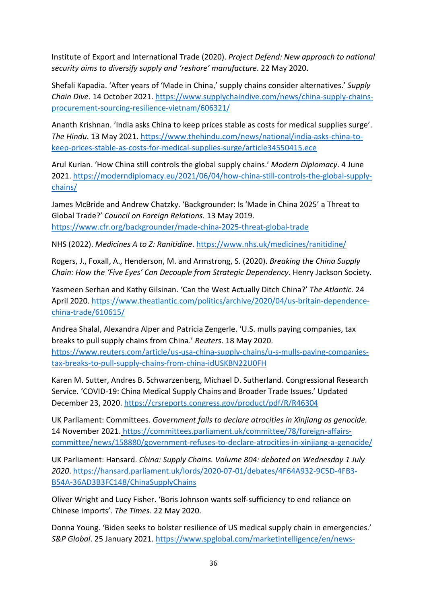Institute of Export and International Trade (2020). *Project Defend: New approach to national security aims to diversify supply and 'reshore' manufacture*. 22 May 2020.

Shefali Kapadia. 'After years of 'Made in China,' supply chains consider alternatives.' *Supply Chain Dive*. 14 October 2021[. https://www.supplychaindive.com/news/china-supply-chains](https://www.supplychaindive.com/news/china-supply-chains-procurement-sourcing-resilience-vietnam/606321/)[procurement-sourcing-resilience-vietnam/606321/](https://www.supplychaindive.com/news/china-supply-chains-procurement-sourcing-resilience-vietnam/606321/)

Ananth Krishnan. 'India asks China to keep prices stable as costs for medical supplies surge'. *The Hindu*. 13 May 2021. [https://www.thehindu.com/news/national/india-asks-china-to](https://www.thehindu.com/news/national/india-asks-china-to-keep-prices-stable-as-costs-for-medical-supplies-surge/article34550415.ece)[keep-prices-stable-as-costs-for-medical-supplies-surge/article34550415.ece](https://www.thehindu.com/news/national/india-asks-china-to-keep-prices-stable-as-costs-for-medical-supplies-surge/article34550415.ece)

Arul Kurian. 'How China still controls the global supply chains.' *Modern Diplomacy*. 4 June 2021. [https://moderndiplomacy.eu/2021/06/04/how-china-still-controls-the-global-supply](https://moderndiplomacy.eu/2021/06/04/how-china-still-controls-the-global-supply-chains/)[chains/](https://moderndiplomacy.eu/2021/06/04/how-china-still-controls-the-global-supply-chains/)

James McBride and Andrew Chatzky. 'Backgrounder: Is 'Made in China 2025' a Threat to Global Trade?' *Council on Foreign Relations.* 13 May 2019. <https://www.cfr.org/backgrounder/made-china-2025-threat-global-trade>

NHS (2022). *Medicines A to Z: Ranitidine*.<https://www.nhs.uk/medicines/ranitidine/>

Rogers, J., Foxall, A., Henderson, M. and Armstrong, S. (2020). *Breaking the China Supply Chain: How the 'Five Eyes' Can Decouple from Strategic Dependency*. Henry Jackson Society.

Yasmeen Serhan and Kathy Gilsinan. 'Can the West Actually Ditch China?' *The Atlantic.* 24 April 2020. [https://www.theatlantic.com/politics/archive/2020/04/us-britain-dependence](https://www.theatlantic.com/politics/archive/2020/04/us-britain-dependence-china-trade/610615/)[china-trade/610615/](https://www.theatlantic.com/politics/archive/2020/04/us-britain-dependence-china-trade/610615/)

Andrea Shalal, Alexandra Alper and Patricia Zengerle. 'U.S. mulls paying companies, tax breaks to pull supply chains from China.' *Reuters*. 18 May 2020. [https://www.reuters.com/article/us-usa-china-supply-chains/u-s-mulls-paying-companies](https://www.reuters.com/article/us-usa-china-supply-chains/u-s-mulls-paying-companies-tax-breaks-to-pull-supply-chains-from-china-idUSKBN22U0FH)[tax-breaks-to-pull-supply-chains-from-china-idUSKBN22U0FH](https://www.reuters.com/article/us-usa-china-supply-chains/u-s-mulls-paying-companies-tax-breaks-to-pull-supply-chains-from-china-idUSKBN22U0FH)

Karen M. Sutter, Andres B. Schwarzenberg, Michael D. Sutherland. Congressional Research Service. 'COVID-19: China Medical Supply Chains and Broader Trade Issues.' Updated December 23, 2020. <https://crsreports.congress.gov/product/pdf/R/R46304>

UK Parliament: Committees. *Government fails to declare atrocities in Xinjiang as genocide.*  14 November 2021. https://committees.parliament.uk/committee/78/foreign-affairscommittee/news/158880/government-refuses-to-declare-atrocities-in-xinjiang-a-genocide/

UK Parliament: Hansard. *China: Supply Chains. Volume 804: debated on Wednesday 1 July 2020*. [https://hansard.parliament.uk/lords/2020-07-01/debates/4F64A932-9C5D-4FB3-](https://hansard.parliament.uk/lords/2020-07-01/debates/4F64A932-9C5D-4FB3-B54A-36AD3B3FC148/ChinaSupplyChains) [B54A-36AD3B3FC148/ChinaSupplyChains](https://hansard.parliament.uk/lords/2020-07-01/debates/4F64A932-9C5D-4FB3-B54A-36AD3B3FC148/ChinaSupplyChains)

Oliver Wright and Lucy Fisher. 'Boris Johnson wants self-sufficiency to end reliance on Chinese imports'. *The Times*. 22 May 2020.

Donna Young. 'Biden seeks to bolster resilience of US medical supply chain in emergencies.' *S&P Global*. 25 January 2021. [https://www.spglobal.com/marketintelligence/en/news-](https://www.spglobal.com/marketintelligence/en/news-insights/latest-news-headlines/biden-seeks-to-bolster-resilience-of-us-medical-supply-chain-in-emergencies-62277036)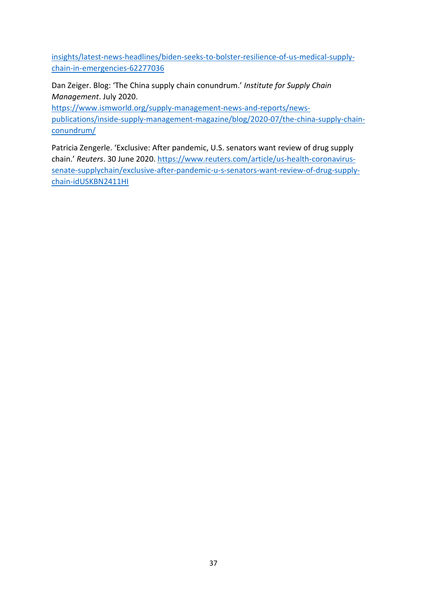[insights/latest-news-headlines/biden-seeks-to-bolster-resilience-of-us-medical-supply](https://www.spglobal.com/marketintelligence/en/news-insights/latest-news-headlines/biden-seeks-to-bolster-resilience-of-us-medical-supply-chain-in-emergencies-62277036)[chain-in-emergencies-62277036](https://www.spglobal.com/marketintelligence/en/news-insights/latest-news-headlines/biden-seeks-to-bolster-resilience-of-us-medical-supply-chain-in-emergencies-62277036)

Dan Zeiger. Blog: 'The China supply chain conundrum.' *Institute for Supply Chain Management*. July 2020.

[https://www.ismworld.org/supply-management-news-and-reports/news](https://www.ismworld.org/supply-management-news-and-reports/news-publications/inside-supply-management-magazine/blog/2020-07/the-china-supply-chain-conundrum/)[publications/inside-supply-management-magazine/blog/2020-07/the-china-supply-chain](https://www.ismworld.org/supply-management-news-and-reports/news-publications/inside-supply-management-magazine/blog/2020-07/the-china-supply-chain-conundrum/)[conundrum/](https://www.ismworld.org/supply-management-news-and-reports/news-publications/inside-supply-management-magazine/blog/2020-07/the-china-supply-chain-conundrum/) 

Patricia Zengerle. 'Exclusive: After pandemic, U.S. senators want review of drug supply chain.' *Reuters*. 30 June 2020[. https://www.reuters.com/article/us-health-coronavirus](https://www.reuters.com/article/us-health-coronavirus-senate-supplychain/exclusive-after-pandemic-u-s-senators-want-review-of-drug-supply-chain-idUSKBN2411HI)[senate-supplychain/exclusive-after-pandemic-u-s-senators-want-review-of-drug-supply](https://www.reuters.com/article/us-health-coronavirus-senate-supplychain/exclusive-after-pandemic-u-s-senators-want-review-of-drug-supply-chain-idUSKBN2411HI)[chain-idUSKBN2411HI](https://www.reuters.com/article/us-health-coronavirus-senate-supplychain/exclusive-after-pandemic-u-s-senators-want-review-of-drug-supply-chain-idUSKBN2411HI)